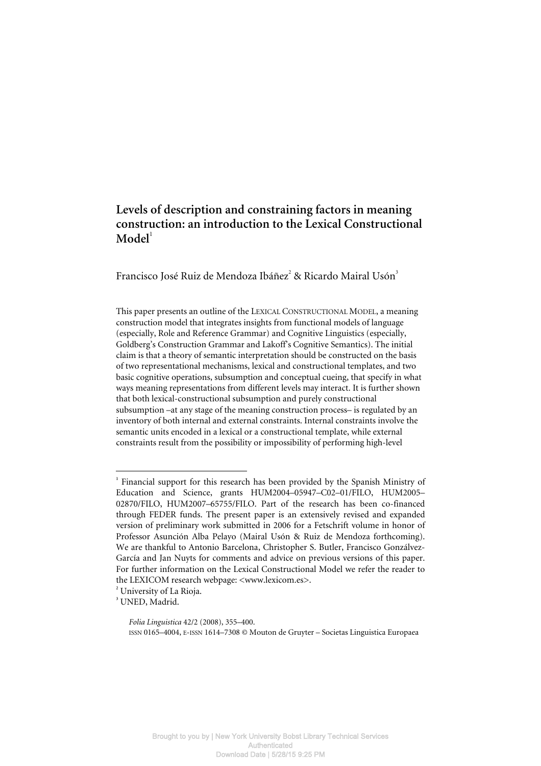# **Levels of description and constraining factors in meaning construction: an introduction to the Lexical Constructional**   $$

Francisco José Ruiz de Mendoza Ibáñez<sup>2</sup> & Ricardo Mairal Usón<sup>3</sup>

This paper presents an outline of the LEXICAL CONSTRUCTIONAL MODEL, a meaning construction model that integrates insights from functional models of language (especially, Role and Reference Grammar) and Cognitive Linguistics (especially, Goldberg's Construction Grammar and Lakoff's Cognitive Semantics). The initial claim is that a theory of semantic interpretation should be constructed on the basis of two representational mechanisms, lexical and constructional templates, and two basic cognitive operations, subsumption and conceptual cueing, that specify in what ways meaning representations from different levels may interact. It is further shown that both lexical-constructional subsumption and purely constructional subsumption –at any stage of the meaning construction process– is regulated by an inventory of both internal and external constraints. Internal constraints involve the semantic units encoded in a lexical or a constructional template, while external constraints result from the possibility or impossibility of performing high-level

 $\overline{a}$ 

<sup>&</sup>lt;sup>1</sup> Financial support for this research has been provided by the Spanish Ministry of Education and Science, grants HUM2004–05947–C02–01/FILO, HUM2005– 02870/FILO, HUM2007–65755/FILO. Part of the research has been co-financed through FEDER funds. The present paper is an extensively revised and expanded version of preliminary work submitted in 2006 for a Fetschrift volume in honor of Professor Asunción Alba Pelayo (Mairal Usón & Ruiz de Mendoza forthcoming). We are thankful to Antonio Barcelona, Christopher S. Butler, Francisco Gonzálvez-García and Jan Nuyts for comments and advice on previous versions of this paper. For further information on the Lexical Constructional Model we refer the reader to the LEXICOM research webpage: <www.lexicom.es>.

**<sup>2</sup>** University of La Rioja.

**<sup>3</sup>** UNED, Madrid.

*Folia Linguistica* 42/2 (2008), 355–400. ISSN 0165–4004, E-ISSN 1614–7308 © Mouton de Gruyter – Societas Linguistica Europaea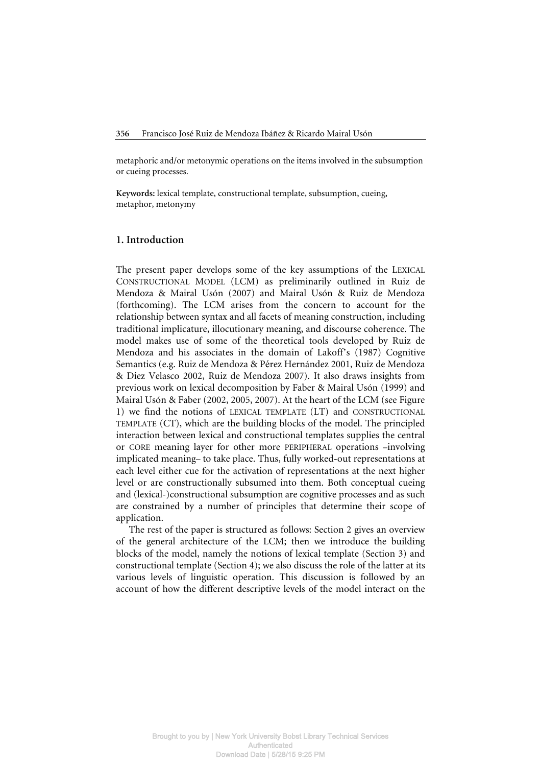metaphoric and/or metonymic operations on the items involved in the subsumption or cueing processes.

**Keywords:** lexical template, constructional template, subsumption, cueing, metaphor, metonymy

# **1. Introduction**

The present paper develops some of the key assumptions of the LEXICAL CONSTRUCTIONAL MODEL (LCM) as preliminarily outlined in Ruiz de Mendoza & Mairal Usón (2007) and Mairal Usón & Ruiz de Mendoza (forthcoming). The LCM arises from the concern to account for the relationship between syntax and all facets of meaning construction, including traditional implicature, illocutionary meaning, and discourse coherence. The model makes use of some of the theoretical tools developed by Ruiz de Mendoza and his associates in the domain of Lakoff's (1987) Cognitive Semantics (e.g. Ruiz de Mendoza & Pérez Hernández 2001, Ruiz de Mendoza & Díez Velasco 2002, Ruiz de Mendoza 2007). It also draws insights from previous work on lexical decomposition by Faber & Mairal Usón (1999) and Mairal Usón & Faber (2002, 2005, 2007). At the heart of the LCM (see Figure 1) we find the notions of LEXICAL TEMPLATE (LT) and CONSTRUCTIONAL TEMPLATE (CT), which are the building blocks of the model. The principled interaction between lexical and constructional templates supplies the central or CORE meaning layer for other more PERIPHERAL operations –involving implicated meaning– to take place. Thus, fully worked-out representations at each level either cue for the activation of representations at the next higher level or are constructionally subsumed into them. Both conceptual cueing and (lexical-)constructional subsumption are cognitive processes and as such are constrained by a number of principles that determine their scope of application.

The rest of the paper is structured as follows: Section 2 gives an overview of the general architecture of the LCM; then we introduce the building blocks of the model, namely the notions of lexical template (Section 3) and constructional template (Section 4); we also discuss the role of the latter at its various levels of linguistic operation. This discussion is followed by an account of how the different descriptive levels of the model interact on the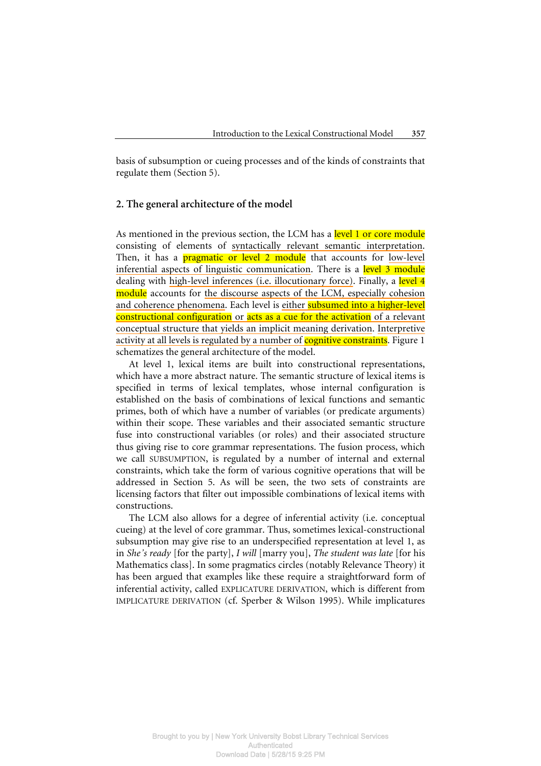basis of subsumption or cueing processes and of the kinds of constraints that regulate them (Section 5).

# **2. The general architecture of the model**

As mentioned in the previous section, the LCM has a level 1 or core module consisting of elements of syntactically relevant semantic interpretation. Then, it has a **pragmatic or level 2 module** that accounts for low-level inferential aspects of linguistic communication. There is a level 3 module dealing with high-level inferences (i.e. illocutionary force). Finally, a level 4 module accounts for the discourse aspects of the LCM, especially cohesion and coherence phenomena. Each level is either **subsumed into a higher-level** constructional configuration or acts as a cue for the activation of a relevant conceptual structure that yields an implicit meaning derivation. Interpretive activity at all levels is regulated by a number of **cognitive constraints**. Figure 1 schematizes the general architecture of the model.

At level 1, lexical items are built into constructional representations, which have a more abstract nature. The semantic structure of lexical items is specified in terms of lexical templates, whose internal configuration is established on the basis of combinations of lexical functions and semantic primes, both of which have a number of variables (or predicate arguments) within their scope. These variables and their associated semantic structure fuse into constructional variables (or roles) and their associated structure thus giving rise to core grammar representations. The fusion process, which we call SUBSUMPTION, is regulated by a number of internal and external constraints, which take the form of various cognitive operations that will be addressed in Section 5. As will be seen, the two sets of constraints are licensing factors that filter out impossible combinations of lexical items with constructions.

The LCM also allows for a degree of inferential activity (i.e. conceptual cueing) at the level of core grammar. Thus, sometimes lexical-constructional subsumption may give rise to an underspecified representation at level 1, as in *She's ready* [for the party], *I will* [marry you], *The student was late* [for his Mathematics class]. In some pragmatics circles (notably Relevance Theory) it has been argued that examples like these require a straightforward form of inferential activity, called EXPLICATURE DERIVATION, which is different from IMPLICATURE DERIVATION (cf. Sperber & Wilson 1995). While implicatures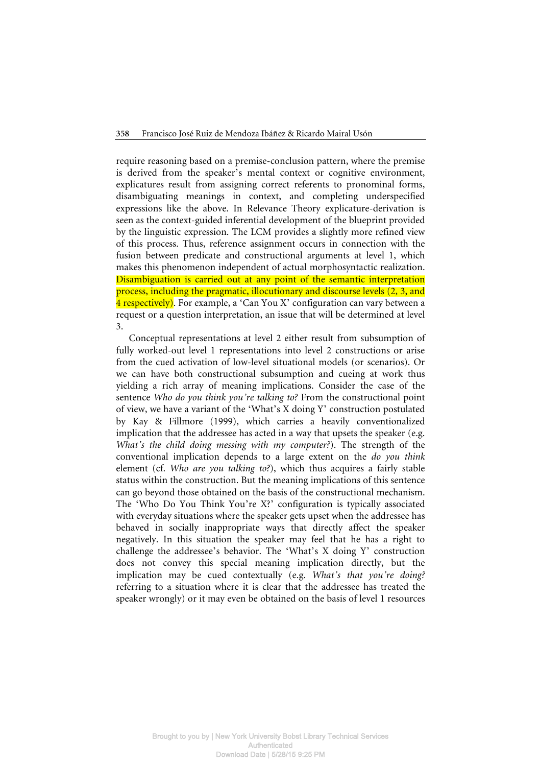require reasoning based on a premise-conclusion pattern, where the premise is derived from the speaker's mental context or cognitive environment, explicatures result from assigning correct referents to pronominal forms, disambiguating meanings in context, and completing underspecified expressions like the above. In Relevance Theory explicature-derivation is seen as the context-guided inferential development of the blueprint provided by the linguistic expression. The LCM provides a slightly more refined view of this process. Thus, reference assignment occurs in connection with the fusion between predicate and constructional arguments at level 1, which makes this phenomenon independent of actual morphosyntactic realization. Disambiguation is carried out at any point of the semantic interpretation process, including the pragmatic, illocutionary and discourse levels (2, 3, and 4 respectively). For example, a 'Can You X' configuration can vary between a request or a question interpretation, an issue that will be determined at level 3.

Conceptual representations at level 2 either result from subsumption of fully worked-out level 1 representations into level 2 constructions or arise from the cued activation of low-level situational models (or scenarios). Or we can have both constructional subsumption and cueing at work thus yielding a rich array of meaning implications. Consider the case of the sentence *Who do you think you're talking to?* From the constructional point of view, we have a variant of the 'What's X doing Y' construction postulated by Kay & Fillmore (1999), which carries a heavily conventionalized implication that the addressee has acted in a way that upsets the speaker (e.g. *What's the child doing messing with my computer?*). The strength of the conventional implication depends to a large extent on the *do you think* element (cf. *Who are you talking to?*), which thus acquires a fairly stable status within the construction. But the meaning implications of this sentence can go beyond those obtained on the basis of the constructional mechanism. The 'Who Do You Think You're X?' configuration is typically associated with everyday situations where the speaker gets upset when the addressee has behaved in socially inappropriate ways that directly affect the speaker negatively. In this situation the speaker may feel that he has a right to challenge the addressee's behavior. The 'What's X doing Y' construction does not convey this special meaning implication directly, but the implication may be cued contextually (e.g. *What's that you're doing?* referring to a situation where it is clear that the addressee has treated the speaker wrongly) or it may even be obtained on the basis of level 1 resources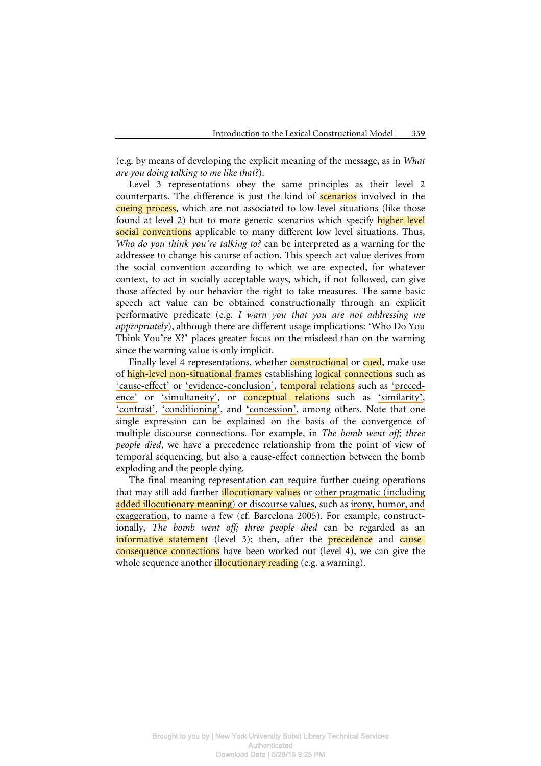(e.g. by means of developing the explicit meaning of the message, as in *What are you doing talking to me like that?*).

Level 3 representations obey the same principles as their level 2 counterparts. The difference is just the kind of scenarios involved in the cueing process, which are not associated to low-level situations (like those found at level 2) but to more generic scenarios which specify higher level social conventions applicable to many different low level situations. Thus, *Who do you think you're talking to?* can be interpreted as a warning for the addressee to change his course of action. This speech act value derives from the social convention according to which we are expected, for whatever context, to act in socially acceptable ways, which, if not followed, can give those affected by our behavior the right to take measures. The same basic speech act value can be obtained constructionally through an explicit performative predicate (e.g. *I warn you that you are not addressing me appropriately*), although there are different usage implications: 'Who Do You Think You're X?' places greater focus on the misdeed than on the warning since the warning value is only implicit.

Finally level 4 representations, whether **constructional** or **cued**, make use of high-level non-situational frames establishing logical connections such as 'cause-effect' or 'evidence-conclusion', temporal relations such as 'precedence' or 'simultaneity', or conceptual relations such as 'similarity', 'contrast', 'conditioning', and 'concession', among others. Note that one single expression can be explained on the basis of the convergence of multiple discourse connections. For example, in *The bomb went off; three people died*, we have a precedence relationship from the point of view of temporal sequencing, but also a cause-effect connection between the bomb exploding and the people dying.

The final meaning representation can require further cueing operations that may still add further *illocutionary values* or other pragmatic (including added illocutionary meaning) or discourse values, such as irony, humor, and exaggeration, to name a few (cf. Barcelona 2005). For example, constructionally, *The bomb went off; three people died* can be regarded as an informative statement (level 3); then, after the precedence and causeconsequence connections have been worked out (level 4), we can give the whole sequence another *illocutionary reading* (e.g. a warning).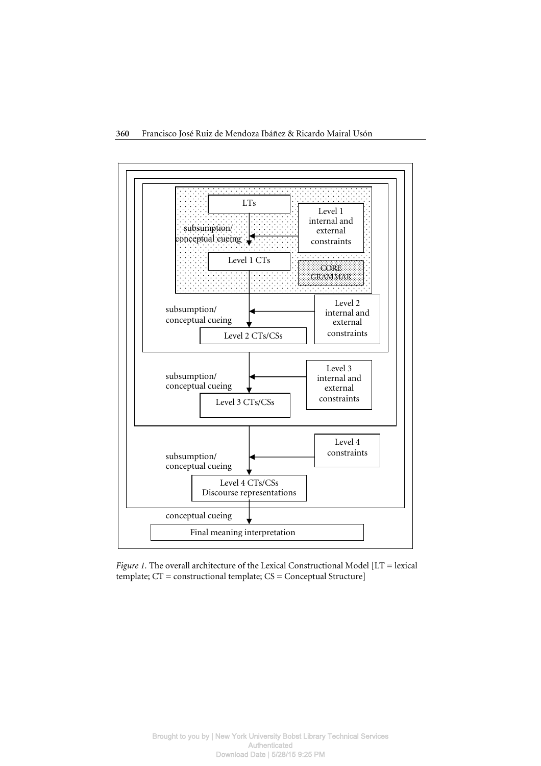

*Figure 1.* The overall architecture of the Lexical Constructional Model [LT = lexical template; CT = constructional template; CS = Conceptual Structure]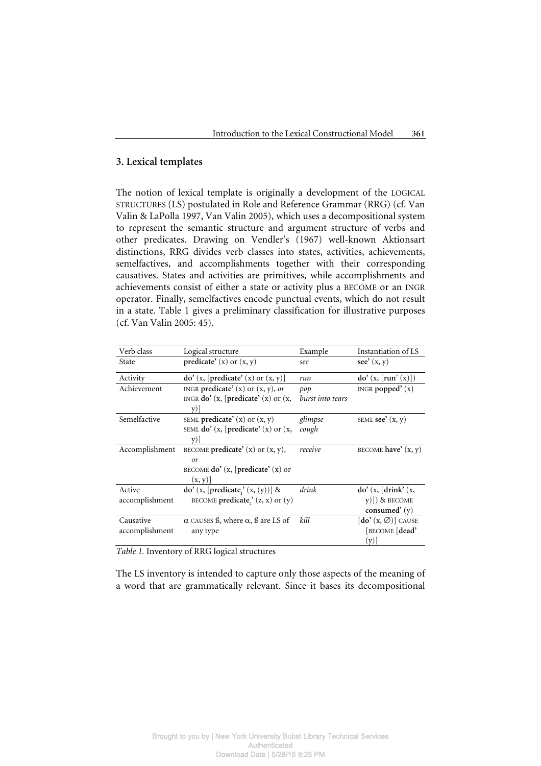# **3. Lexical templates**

The notion of lexical template is originally a development of the LOGICAL STRUCTURES (LS) postulated in Role and Reference Grammar (RRG) (cf. Van Valin & LaPolla 1997, Van Valin 2005), which uses a decompositional system to represent the semantic structure and argument structure of verbs and other predicates. Drawing on Vendler's (1967) well-known Aktionsart distinctions, RRG divides verb classes into states, activities, achievements, semelfactives, and accomplishments together with their corresponding causatives. States and activities are primitives, while accomplishments and achievements consist of either a state or activity plus a BECOME or an INGR operator. Finally, semelfactives encode punctual events, which do not result in a state. Table 1 gives a preliminary classification for illustrative purposes (cf. Van Valin 2005: 45).

| Verb class     | Logical structure                               | Example                 | Instantiation of LS                                       |
|----------------|-------------------------------------------------|-------------------------|-----------------------------------------------------------|
| State          | predicate' $(x)$ or $(x, y)$                    | see                     | see' $(x, y)$                                             |
| Activity       | $\phi'$ (x, [predicate' (x) or (x, y)]          | run                     | $\text{do}'(x, \lceil \text{run}'(x) \rceil)$             |
| Achievement    | INGR predicate' $(x)$ or $(x, y)$ , or          | pop                     | INGR popped $(x)$                                         |
|                | INGR $do'$ (x, [predicate' (x) or (x,           | <i>burst into tears</i> |                                                           |
|                | V)                                              |                         |                                                           |
| Semelfactive   | SEML predicate' $(x)$ or $(x, y)$               | glimpse                 | SEML see $(x, y)$                                         |
|                | SEML do' $(x,$ [predicate' $(x)$ or $(x,$       | cough                   |                                                           |
|                | V                                               |                         |                                                           |
| Accomplishment | BECOME <b>predicate'</b> $(x)$ or $(x, y)$ ,    | receive                 | BECOME have' $(x, y)$                                     |
|                | or                                              |                         |                                                           |
|                | BECOME $do'(x, [predicate'(x) or$               |                         |                                                           |
|                | (x, y)                                          |                         |                                                           |
| Active         | $\phi'$ (x, [predicate,' (x, (y))] &            | drink                   | $do'$ (x, [drink' (x,                                     |
| accomplishment | BECOME predicate,' $(z, x)$ or $(y)$            |                         | $(y)$ ) & BECOME                                          |
|                |                                                 |                         | consumed' $(y)$                                           |
| Causative      | $\alpha$ CAUSES B, where $\alpha$ , B are LS of | kill                    | $\left[\text{do}'\left(x,\varnothing\right)\right]$ cause |
| accomplishment | any type                                        |                         | BECOME [dead'                                             |
|                |                                                 |                         | (y)                                                       |

*Table 1.* Inventory of RRG logical structures

The LS inventory is intended to capture only those aspects of the meaning of a word that are grammatically relevant. Since it bases its decompositional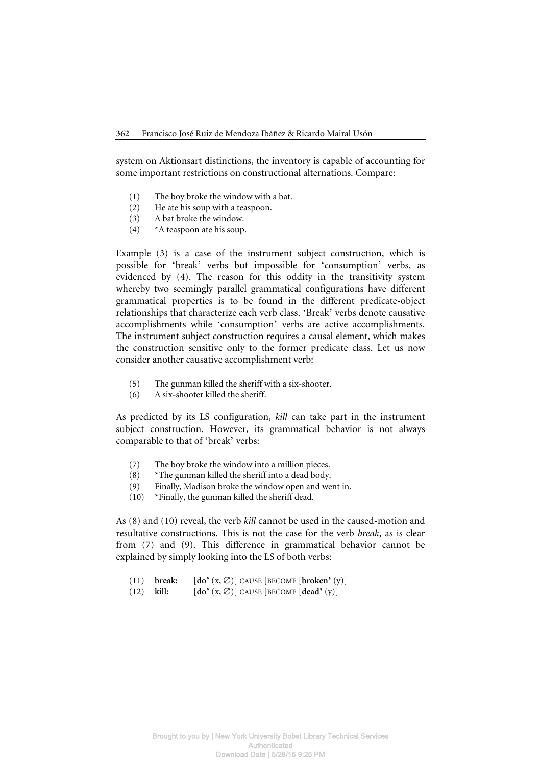system on Aktionsart distinctions, the inventory is capable of accounting for some important restrictions on constructional alternations. Compare:

- (1) The boy broke the window with a bat.
- (2) He ate his soup with a teaspoon.
- (3) A bat broke the window.
- (4) \*A teaspoon ate his soup.

Example (3) is a case of the instrument subject construction, which is possible for 'break' verbs but impossible for 'consumption' verbs, as evidenced by (4). The reason for this oddity in the transitivity system whereby two seemingly parallel grammatical configurations have different grammatical properties is to be found in the different predicate-object relationships that characterize each verb class. 'Break' verbs denote causative accomplishments while 'consumption' verbs are active accomplishments. The instrument subject construction requires a causal element, which makes the construction sensitive only to the former predicate class. Let us now consider another causative accomplishment verb:

- (5) The gunman killed the sheriff with a six-shooter.
- (6) A six-shooter killed the sheriff.

As predicted by its LS configuration, *kill* can take part in the instrument subject construction. However, its grammatical behavior is not always comparable to that of 'break' verbs:

- (7) The boy broke the window into a million pieces.
- $(8)$  \*The gunman killed the sheriff into a dead body.
- (9) Finally, Madison broke the window open and went in.
- (10) \*Finally, the gunman killed the sheriff dead.

As (8) and (10) reveal, the verb *kill* cannot be used in the caused-motion and resultative constructions. This is not the case for the verb *break*, as is clear from (7) and (9). This difference in grammatical behavior cannot be explained by simply looking into the LS of both verbs:

- (11) **break:**  $[\text{do'}(x, \emptyset)]$  CAUSE  $[\text{BECOME} [\text{broken'}(y)]$
- (12) **kill:** [**do'** (x, ∅)] CAUSE [BECOME [**dead'** (y)]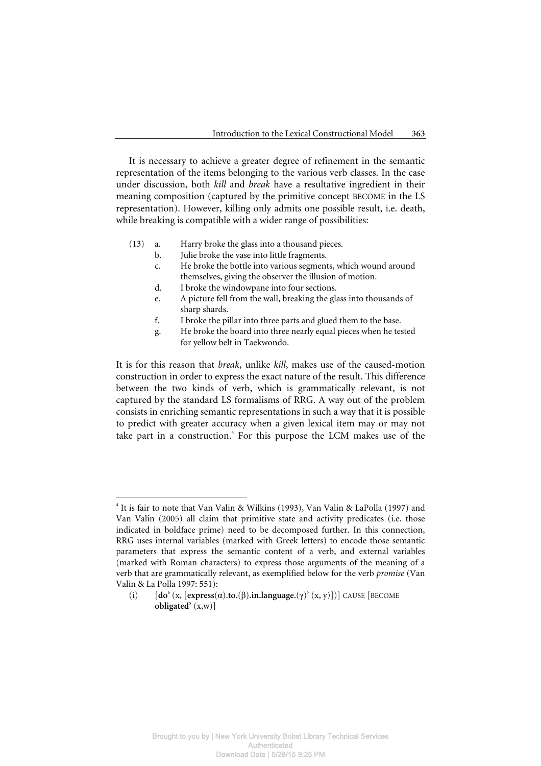It is necessary to achieve a greater degree of refinement in the semantic representation of the items belonging to the various verb classes. In the case under discussion, both *kill* and *break* have a resultative ingredient in their meaning composition (captured by the primitive concept BECOME in the LS representation). However, killing only admits one possible result, i.e. death, while breaking is compatible with a wider range of possibilities:

- (13) a. Harry broke the glass into a thousand pieces.
	- b. Julie broke the vase into little fragments.
	- c. He broke the bottle into various segments, which wound around themselves, giving the observer the illusion of motion.
	- d. I broke the windowpane into four sections.
	- e. A picture fell from the wall, breaking the glass into thousands of sharp shards.
	- f. I broke the pillar into three parts and glued them to the base.
	- g. He broke the board into three nearly equal pieces when he tested for yellow belt in Taekwondo.

It is for this reason that *break*, unlike *kill*, makes use of the caused-motion construction in order to express the exact nature of the result. This difference between the two kinds of verb, which is grammatically relevant, is not captured by the standard LS formalisms of RRG. A way out of the problem consists in enriching semantic representations in such a way that it is possible to predict with greater accuracy when a given lexical item may or may not take part in a construction.<sup>4</sup> For this purpose the LCM makes use of the

 $\overline{a}$ 

**<sup>4</sup>** It is fair to note that Van Valin & Wilkins (1993), Van Valin & LaPolla (1997) and Van Valin (2005) all claim that primitive state and activity predicates (i.e. those indicated in boldface prime) need to be decomposed further. In this connection, RRG uses internal variables (marked with Greek letters) to encode those semantic parameters that express the semantic content of a verb, and external variables (marked with Roman characters) to express those arguments of the meaning of a verb that are grammatically relevant, as exemplified below for the verb *promise* (Van Valin & La Polla 1997: 551):

 <sup>(</sup>i) [**do'** (x, [**express**(α).**to.**(β)**.in.language**.(γ)' (x, y)])] CAUSE [BECOME **obligated'** (x,w)]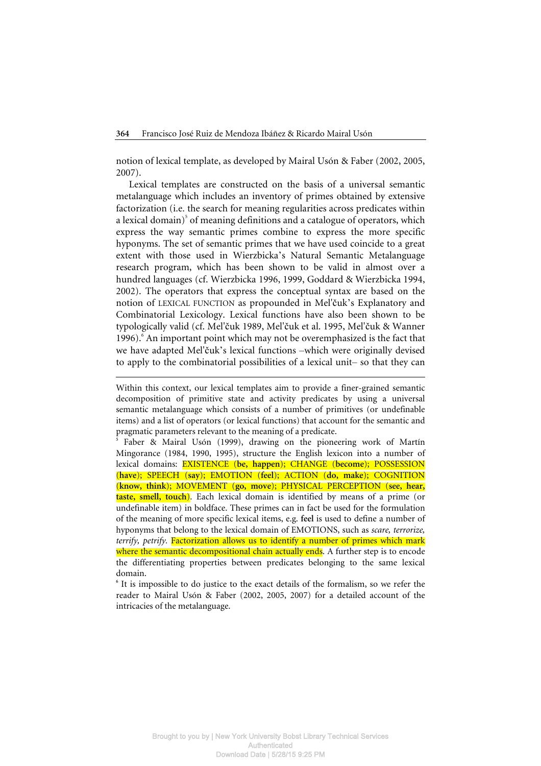notion of lexical template, as developed by Mairal Usón & Faber (2002, 2005, 2007).

Lexical templates are constructed on the basis of a universal semantic metalanguage which includes an inventory of primes obtained by extensive factorization (i.e. the search for meaning regularities across predicates within a lexical domain)<sup>5</sup> of meaning definitions and a catalogue of operators, which express the way semantic primes combine to express the more specific hyponyms. The set of semantic primes that we have used coincide to a great extent with those used in Wierzbicka's Natural Semantic Metalanguage research program, which has been shown to be valid in almost over a hundred languages (cf. Wierzbicka 1996, 1999, Goddard & Wierzbicka 1994, 2002). The operators that express the conceptual syntax are based on the notion of LEXICAL FUNCTION as propounded in Mel'čuk's Explanatory and Combinatorial Lexicology. Lexical functions have also been shown to be typologically valid (cf. Mel'čuk 1989, Mel'čuk et al. 1995, Mel'čuk & Wanner 1996). An important point which may not be overemphasized is the fact that we have adapted Mel'čuk's lexical functions –which were originally devised to apply to the combinatorial possibilities of a lexical unit– so that they can

 $\overline{a}$ 

Within this context, our lexical templates aim to provide a finer-grained semantic decomposition of primitive state and activity predicates by using a universal semantic metalanguage which consists of a number of primitives (or undefinable items) and a list of operators (or lexical functions) that account for the semantic and pragmatic parameters relevant to the meaning of a predicate.

**<sup>5</sup>** Faber & Mairal Usón (1999), drawing on the pioneering work of Martín Mingorance (1984, 1990, 1995), structure the English lexicon into a number of lexical domains: EXISTENCE (**be, happen**); CHANGE (**become**); POSSESSION (**have**); SPEECH (**say**); EMOTION (**feel**); ACTION (**do, make**); COGNITION (**know, think**); MOVEMENT (**go, move**); PHYSICAL PERCEPTION (**see, hear, taste, smell, touch**). Each lexical domain is identified by means of a prime (or undefinable item) in boldface. These primes can in fact be used for the formulation of the meaning of more specific lexical items, e.g. **feel** is used to define a number of hyponyms that belong to the lexical domain of EMOTIONS, such as *scare, terrorize, terrify, petrify*. Factorization allows us to identify a number of primes which mark where the semantic decompositional chain actually ends. A further step is to encode the differentiating properties between predicates belonging to the same lexical domain.

<sup>&</sup>lt;sup>6</sup> It is impossible to do justice to the exact details of the formalism, so we refer the reader to Mairal Usón & Faber (2002, 2005, 2007) for a detailed account of the intricacies of the metalanguage.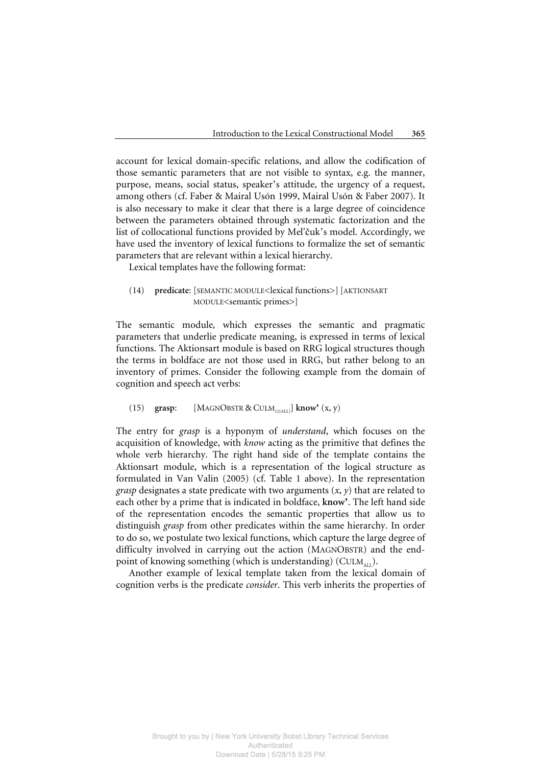account for lexical domain-specific relations, and allow the codification of those semantic parameters that are not visible to syntax, e.g. the manner, purpose, means, social status, speaker's attitude, the urgency of a request, among others (cf. Faber & Mairal Usón 1999, Mairal Usón & Faber 2007). It is also necessary to make it clear that there is a large degree of coincidence between the parameters obtained through systematic factorization and the list of collocational functions provided by Mel'čuk's model. Accordingly, we have used the inventory of lexical functions to formalize the set of semantic parameters that are relevant within a lexical hierarchy.

Lexical templates have the following format:

 (14) **predicate**: [SEMANTIC MODULE<lexical functions>][AKTIONSART MODULE<semantic primes>]

The semantic module*,* which expresses the semantic and pragmatic parameters that underlie predicate meaning, is expressed in terms of lexical functions. The Aktionsart module is based on RRG logical structures though the terms in boldface are not those used in RRG, but rather belong to an inventory of primes. Consider the following example from the domain of cognition and speech act verbs:

(15) **grasp:**  $[MAGNO\text{BSTR} \& \text{CULM}_{12\text{[ALL]}}]$  **know**<sup> $\text{`}(x, y)$ </sup>

The entry for *grasp* is a hyponym of *understand*, which focuses on the acquisition of knowledge, with *know* acting as the primitive that defines the whole verb hierarchy. The right hand side of the template contains the Aktionsart module, which is a representation of the logical structure as formulated in Van Valin (2005) (cf. Table 1 above). In the representation *grasp* designates a state predicate with two arguments  $(x, y)$  that are related to each other by a prime that is indicated in boldface, **know'**. The left hand side of the representation encodes the semantic properties that allow us to distinguish *grasp* from other predicates within the same hierarchy. In order to do so, we postulate two lexical functions, which capture the large degree of difficulty involved in carrying out the action (MAGNOBSTR) and the endpoint of knowing something (which is understanding) ( $\text{CULM}_{\text{att}}$ ).

Another example of lexical template taken from the lexical domain of cognition verbs is the predicate *consider*. This verb inherits the properties of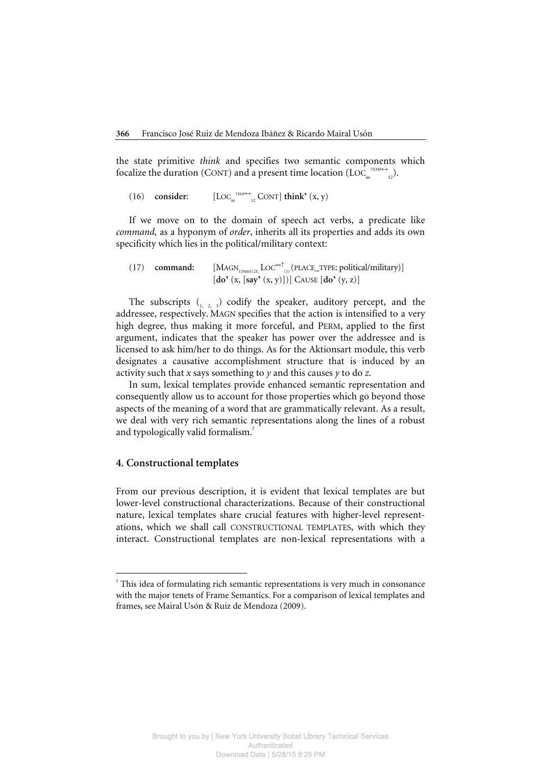the state primitive *think* and specifies two semantic components which focalize the duration (CONT) and a present time location (LOC<sub>in</sub><sup>TEMP++</sup><sub>12</sub>).

(16) consider:  $\sum_{12}^{TEMP \leftrightarrow}$  CONT] **think'** (x, y)

If we move on to the domain of speech act verbs, a predicate like *command,* as a hyponym of *order*, inherits all its properties and adds its own specificity which lies in the political/military context:

(17) command:  $[MAGN_{1[PERM] 23, LOC^{sort}_{(1)}(PLACE_TYPE: political/military)]$ [**do'** (x, [**say'** (x, y)])] CAUSE [**do'** (y, z)]

The subscripts  $\binom{n}{n}$   $\geq$  3) codify the speaker, auditory percept, and the addressee, respectively. MAGN specifies that the action is intensified to a very high degree, thus making it more forceful, and PERM, applied to the first argument, indicates that the speaker has power over the addressee and is licensed to ask him/her to do things. As for the Aktionsart module, this verb designates a causative accomplishment structure that is induced by an activity such that *x* says something to *y* and this causes *y* to do *z*.

In sum, lexical templates provide enhanced semantic representation and consequently allow us to account for those properties which go beyond those aspects of the meaning of a word that are grammatically relevant. As a result, we deal with very rich semantic representations along the lines of a robust and typologically valid formalism.<sup>7</sup>

# **4. Constructional templates**

 $\overline{a}$ 

From our previous description, it is evident that lexical templates are but lower-level constructional characterizations. Because of their constructional nature, lexical templates share crucial features with higher-level representations, which we shall call CONSTRUCTIONAL TEMPLATES, with which they interact. Constructional templates are non-lexical representations with a

**<sup>7</sup>** This idea of formulating rich semantic representations is very much in consonance with the major tenets of Frame Semantics. For a comparison of lexical templates and frames, see Mairal Usón & Ruiz de Mendoza (2009).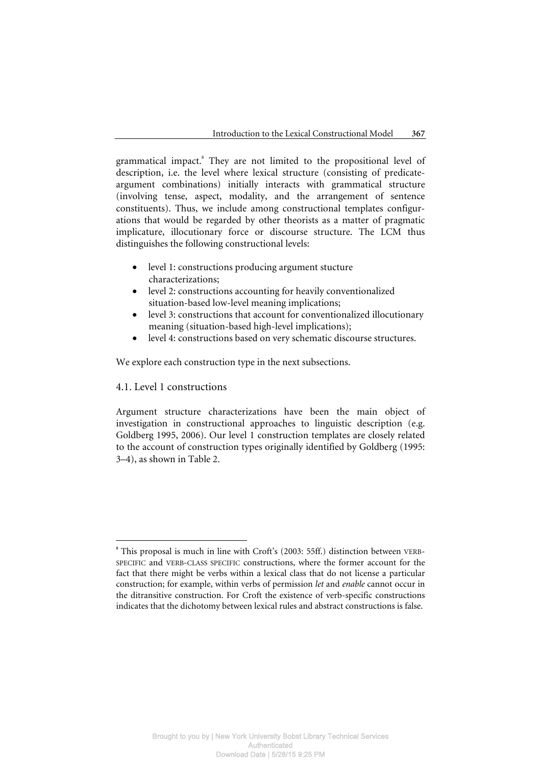grammatical impact.<sup>8</sup> They are not limited to the propositional level of description, i.e. the level where lexical structure (consisting of predicateargument combinations) initially interacts with grammatical structure (involving tense, aspect, modality, and the arrangement of sentence constituents). Thus, we include among constructional templates configurations that would be regarded by other theorists as a matter of pragmatic implicature, illocutionary force or discourse structure. The LCM thus distinguishes the following constructional levels:

- level 1: constructions producing argument stucture characterizations;
- level 2: constructions accounting for heavily conventionalized situation-based low-level meaning implications;
- level 3: constructions that account for conventionalized illocutionary meaning (situation-based high-level implications);
- level 4: constructions based on very schematic discourse structures.

We explore each construction type in the next subsections.

# 4.1. Level 1 constructions

 $\overline{a}$ 

Argument structure characterizations have been the main object of investigation in constructional approaches to linguistic description (e.g. Goldberg 1995, 2006). Our level 1 construction templates are closely related to the account of construction types originally identified by Goldberg (1995: 3–4), as shown in Table 2.

**<sup>8</sup>** This proposal is much in line with Croft's (2003: 55ff.) distinction between VERB-SPECIFIC and VERB-CLASS SPECIFIC constructions, where the former account for the fact that there might be verbs within a lexical class that do not license a particular construction; for example, within verbs of permission *let* and *enable* cannot occur in the ditransitive construction. For Croft the existence of verb-specific constructions indicates that the dichotomy between lexical rules and abstract constructions is false.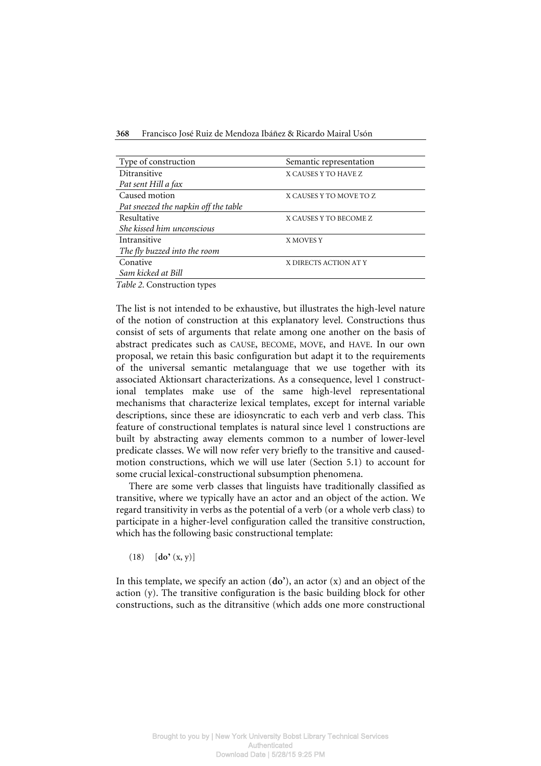**368** Francisco José Ruiz de Mendoza Ibáñez & Ricardo Mairal Usón

| Type of construction                 | Semantic representation |  |  |  |
|--------------------------------------|-------------------------|--|--|--|
| Ditransitive                         | X CAUSES Y TO HAVE Z    |  |  |  |
| Pat sent Hill a fax                  |                         |  |  |  |
| Caused motion                        | X CAUSES Y TO MOVE TO Z |  |  |  |
| Pat sneezed the napkin off the table |                         |  |  |  |
| Resultative                          | X CAUSES Y TO BECOME Z  |  |  |  |
| She kissed him unconscious           |                         |  |  |  |
| Intransitive                         | X MOVES Y               |  |  |  |
| The fly buzzed into the room         |                         |  |  |  |
| Conative                             | X DIRECTS ACTION AT Y   |  |  |  |
| Sam kicked at Bill                   |                         |  |  |  |

*Table 2*. Construction types

The list is not intended to be exhaustive, but illustrates the high-level nature of the notion of construction at this explanatory level. Constructions thus consist of sets of arguments that relate among one another on the basis of abstract predicates such as CAUSE, BECOME, MOVE, and HAVE. In our own proposal, we retain this basic configuration but adapt it to the requirements of the universal semantic metalanguage that we use together with its associated Aktionsart characterizations. As a consequence, level 1 constructional templates make use of the same high-level representational mechanisms that characterize lexical templates, except for internal variable descriptions, since these are idiosyncratic to each verb and verb class. This feature of constructional templates is natural since level 1 constructions are built by abstracting away elements common to a number of lower-level predicate classes. We will now refer very briefly to the transitive and causedmotion constructions, which we will use later (Section 5.1) to account for some crucial lexical-constructional subsumption phenomena.

There are some verb classes that linguists have traditionally classified as transitive, where we typically have an actor and an object of the action. We regard transitivity in verbs as the potential of a verb (or a whole verb class) to participate in a higher-level configuration called the transitive construction, which has the following basic constructional template:

(18) [**do'** (x, y)]

In this template, we specify an action (**do'**), an actor (x) and an object of the action (y). The transitive configuration is the basic building block for other constructions, such as the ditransitive (which adds one more constructional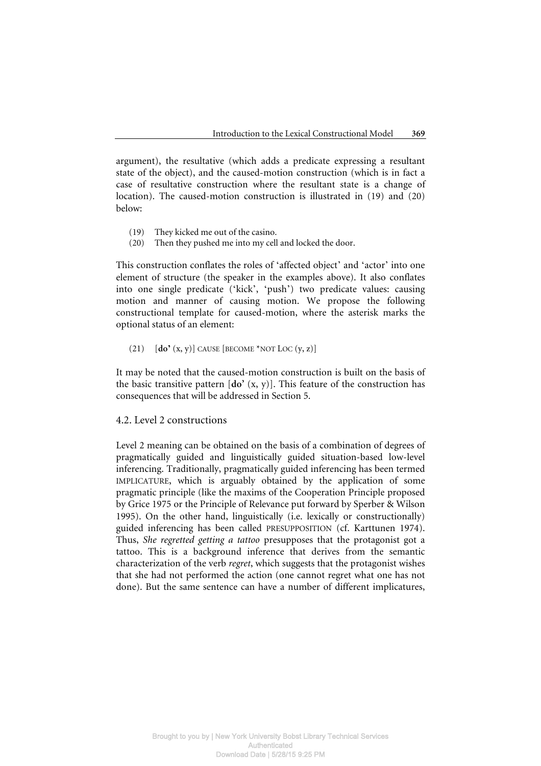argument), the resultative (which adds a predicate expressing a resultant state of the object), and the caused-motion construction (which is in fact a case of resultative construction where the resultant state is a change of location). The caused-motion construction is illustrated in (19) and (20) below:

- (19) They kicked me out of the casino.
- (20) Then they pushed me into my cell and locked the door.

This construction conflates the roles of 'affected object' and 'actor' into one element of structure (the speaker in the examples above). It also conflates into one single predicate ('kick', 'push') two predicate values: causing motion and manner of causing motion. We propose the following constructional template for caused-motion, where the asterisk marks the optional status of an element:

# (21)  $\left[ \text{do'}(x, y) \right]$  CAUSE  $\left[ \text{BECOME} \right]$  \*NOT LOC  $(y, z)$ ]

It may be noted that the caused-motion construction is built on the basis of the basic transitive pattern  $[do'(x, y)]$ . This feature of the construction has consequences that will be addressed in Section 5.

# 4.2. Level 2 constructions

Level 2 meaning can be obtained on the basis of a combination of degrees of pragmatically guided and linguistically guided situation-based low-level inferencing. Traditionally, pragmatically guided inferencing has been termed IMPLICATURE, which is arguably obtained by the application of some pragmatic principle (like the maxims of the Cooperation Principle proposed by Grice 1975 or the Principle of Relevance put forward by Sperber & Wilson 1995). On the other hand, linguistically (i.e. lexically or constructionally) guided inferencing has been called PRESUPPOSITION (cf. Karttunen 1974). Thus, *She regretted getting a tattoo* presupposes that the protagonist got a tattoo. This is a background inference that derives from the semantic characterization of the verb *regret*, which suggests that the protagonist wishes that she had not performed the action (one cannot regret what one has not done). But the same sentence can have a number of different implicatures,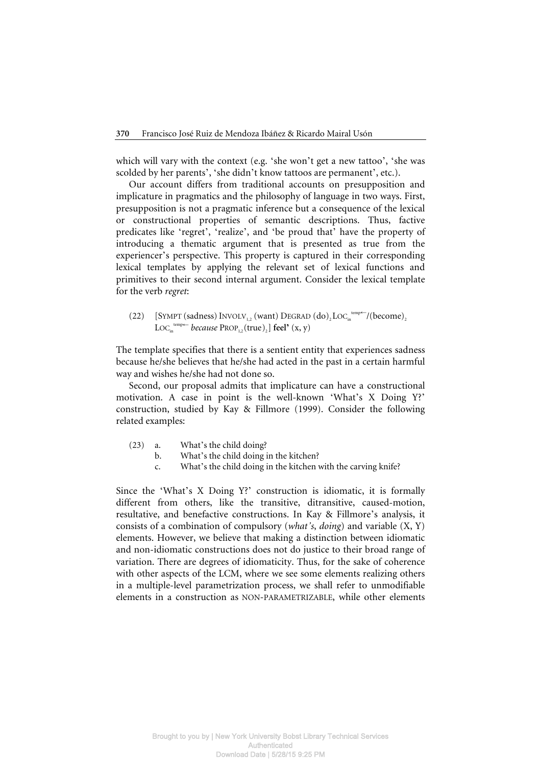which will vary with the context (e.g. 'she won't get a new tattoo', 'she was scolded by her parents', 'she didn't know tattoos are permanent', etc.).

Our account differs from traditional accounts on presupposition and implicature in pragmatics and the philosophy of language in two ways. First, presupposition is not a pragmatic inference but a consequence of the lexical or constructional properties of semantic descriptions. Thus, factive predicates like 'regret', 'realize', and 'be proud that' have the property of introducing a thematic argument that is presented as true from the experiencer's perspective. This property is captured in their corresponding lexical templates by applying the relevant set of lexical functions and primitives to their second internal argument. Consider the lexical template for the verb *regret*:

(22) [SYMPT (sadness)  $INVOLV_{1,2}$  (want) DEGRAD  $\left(\text{do}\right)_2 \text{LOC}_{\text{in}}^{\text{temp}\leftarrow}$ /(become)<sub>2</sub>  $Loc_{\text{in}}^{\text{temp}\leftarrow}$  *because*  $PROP_{1,2}(\text{true})$  *feel*<sup>\*</sup>  $(x, y)$ 

The template specifies that there is a sentient entity that experiences sadness because he/she believes that he/she had acted in the past in a certain harmful way and wishes he/she had not done so.

Second, our proposal admits that implicature can have a constructional motivation. A case in point is the well-known 'What's X Doing Y?' construction, studied by Kay & Fillmore (1999). Consider the following related examples:

- (23) a. What's the child doing?
	- b. What's the child doing in the kitchen?
		- c. What's the child doing in the kitchen with the carving knife?

Since the 'What's X Doing Y?' construction is idiomatic, it is formally different from others, like the transitive, ditransitive, caused-motion, resultative, and benefactive constructions. In Kay & Fillmore's analysis, it consists of a combination of compulsory (*what's*, *doing*) and variable (X, Y) elements. However, we believe that making a distinction between idiomatic and non-idiomatic constructions does not do justice to their broad range of variation. There are degrees of idiomaticity. Thus, for the sake of coherence with other aspects of the LCM, where we see some elements realizing others in a multiple-level parametrization process, we shall refer to unmodifiable elements in a construction as NON-PARAMETRIZABLE, while other elements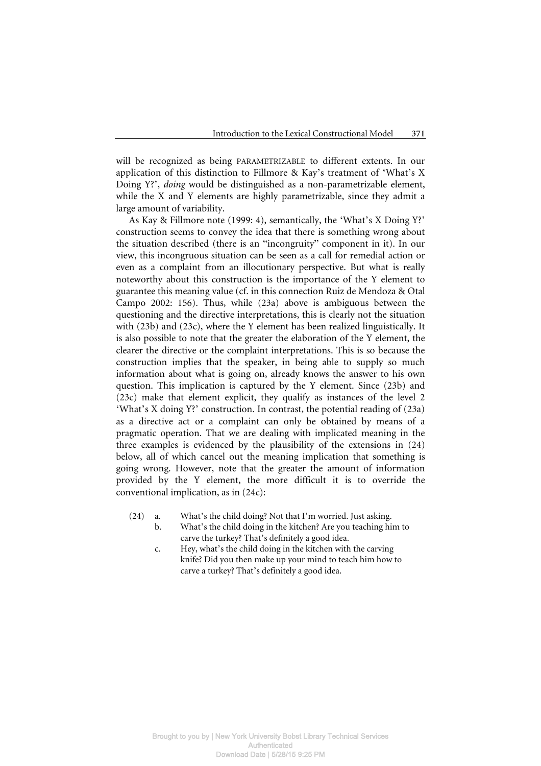will be recognized as being PARAMETRIZABLE to different extents. In our application of this distinction to Fillmore & Kay's treatment of 'What's X Doing Y?', *doing* would be distinguished as a non-parametrizable element, while the X and Y elements are highly parametrizable, since they admit a large amount of variability.

As Kay & Fillmore note (1999: 4), semantically, the 'What's X Doing Y?' construction seems to convey the idea that there is something wrong about the situation described (there is an "incongruity" component in it). In our view, this incongruous situation can be seen as a call for remedial action or even as a complaint from an illocutionary perspective. But what is really noteworthy about this construction is the importance of the Y element to guarantee this meaning value (cf. in this connection Ruiz de Mendoza & Otal Campo 2002: 156). Thus, while (23a) above is ambiguous between the questioning and the directive interpretations, this is clearly not the situation with (23b) and (23c), where the Y element has been realized linguistically. It is also possible to note that the greater the elaboration of the Y element, the clearer the directive or the complaint interpretations. This is so because the construction implies that the speaker, in being able to supply so much information about what is going on, already knows the answer to his own question. This implication is captured by the Y element. Since (23b) and (23c) make that element explicit, they qualify as instances of the level 2 'What's X doing Y?' construction. In contrast, the potential reading of (23a) as a directive act or a complaint can only be obtained by means of a pragmatic operation. That we are dealing with implicated meaning in the three examples is evidenced by the plausibility of the extensions in (24) below, all of which cancel out the meaning implication that something is going wrong. However, note that the greater the amount of information provided by the Y element, the more difficult it is to override the conventional implication, as in (24c):

- (24) a. What's the child doing? Not that I'm worried. Just asking.
	- b. What's the child doing in the kitchen? Are you teaching him to carve the turkey? That's definitely a good idea.
	- c. Hey, what's the child doing in the kitchen with the carving knife? Did you then make up your mind to teach him how to carve a turkey? That's definitely a good idea.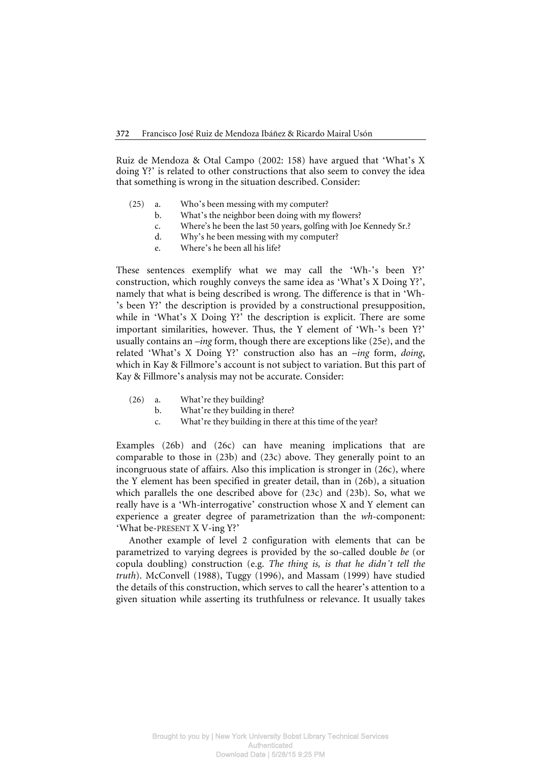Ruiz de Mendoza & Otal Campo (2002: 158) have argued that 'What's X doing Y?' is related to other constructions that also seem to convey the idea that something is wrong in the situation described. Consider:

- (25) a. Who's been messing with my computer?
	- b. What's the neighbor been doing with my flowers?
	- c. Where's he been the last 50 years, golfing with Joe Kennedy Sr.?
	- d. Why's he been messing with my computer?
	- e. Where's he been all his life?

These sentences exemplify what we may call the 'Wh-'s been Y?' construction, which roughly conveys the same idea as 'What's X Doing Y?', namely that what is being described is wrong. The difference is that in 'Wh- 's been Y?' the description is provided by a constructional presupposition, while in 'What's X Doing Y?' the description is explicit. There are some important similarities, however. Thus, the Y element of 'Wh-'s been Y?' usually contains an *–ing* form, though there are exceptions like (25e), and the related 'What's X Doing Y?' construction also has an *–ing* form, *doing*, which in Kay & Fillmore's account is not subject to variation. But this part of Kay & Fillmore's analysis may not be accurate. Consider:

- (26) a. What're they building?
	- b. What're they building in there?
	- c. What're they building in there at this time of the year?

Examples (26b) and (26c) can have meaning implications that are comparable to those in (23b) and (23c) above. They generally point to an incongruous state of affairs. Also this implication is stronger in (26c), where the Y element has been specified in greater detail, than in (26b), a situation which parallels the one described above for (23c) and (23b). So, what we really have is a 'Wh-interrogative' construction whose X and Y element can experience a greater degree of parametrization than the *wh-*component: 'What be-PRESENT X V-ing Y?'

Another example of level 2 configuration with elements that can be parametrized to varying degrees is provided by the so-called double *be* (or copula doubling) construction (e.g. *The thing is, is that he didn't tell the truth*). McConvell (1988), Tuggy (1996), and Massam (1999) have studied the details of this construction, which serves to call the hearer's attention to a given situation while asserting its truthfulness or relevance. It usually takes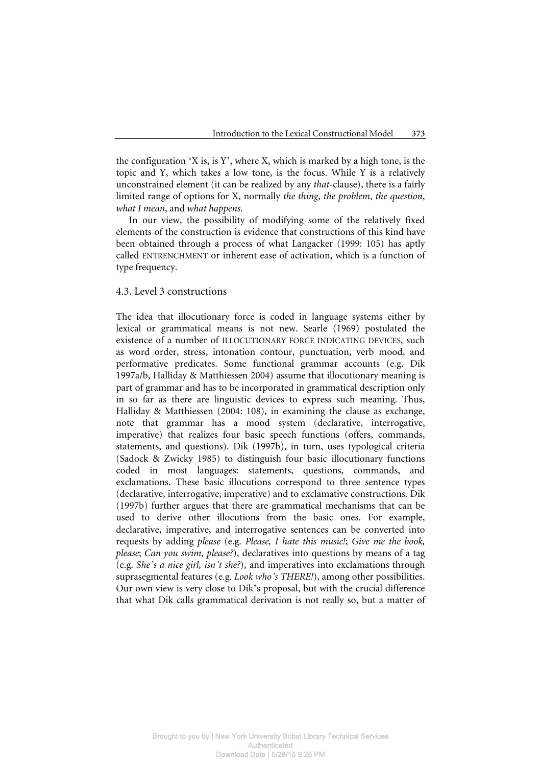the configuration 'X is, is Y', where X, which is marked by a high tone, is the topic and Y, which takes a low tone, is the focus. While Y is a relatively unconstrained element (it can be realized by any *that*-clause), there is a fairly limited range of options for X, normally *the thing*, *the problem*, *the question*, *what I mean*, and *what happens*.

In our view, the possibility of modifying some of the relatively fixed elements of the construction is evidence that constructions of this kind have been obtained through a process of what Langacker (1999: 105) has aptly called ENTRENCHMENT or inherent ease of activation, which is a function of type frequency.

#### 4.3. Level 3 constructions

The idea that illocutionary force is coded in language systems either by lexical or grammatical means is not new. Searle (1969) postulated the existence of a number of ILLOCUTIONARY FORCE INDICATING DEVICES, such as word order, stress, intonation contour, punctuation, verb mood, and performative predicates. Some functional grammar accounts (e.g. Dik 1997a/b, Halliday & Matthiessen 2004) assume that illocutionary meaning is part of grammar and has to be incorporated in grammatical description only in so far as there are linguistic devices to express such meaning. Thus, Halliday & Matthiessen (2004: 108), in examining the clause as exchange, note that grammar has a mood system (declarative, interrogative, imperative) that realizes four basic speech functions (offers, commands, statements, and questions). Dik (1997b), in turn, uses typological criteria (Sadock & Zwicky 1985) to distinguish four basic illocutionary functions coded in most languages: statements, questions, commands, and exclamations. These basic illocutions correspond to three sentence types (declarative, interrogative, imperative) and to exclamative constructions. Dik (1997b) further argues that there are grammatical mechanisms that can be used to derive other illocutions from the basic ones. For example, declarative, imperative, and interrogative sentences can be converted into requests by adding *please* (e.g. *Please, I hate this music!*; *Give me the book, please*; *Can you swim, please?*), declaratives into questions by means of a tag (e.g. *She's a nice girl, isn't she?*), and imperatives into exclamations through suprasegmental features (e.g. *Look who's THERE!*), among other possibilities. Our own view is very close to Dik's proposal, but with the crucial difference that what Dik calls grammatical derivation is not really so, but a matter of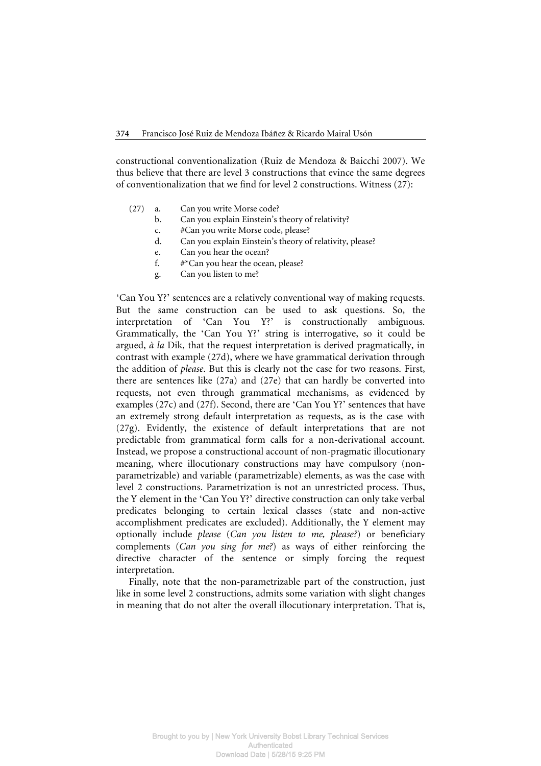constructional conventionalization (Ruiz de Mendoza & Baicchi 2007). We thus believe that there are level 3 constructions that evince the same degrees of conventionalization that we find for level 2 constructions. Witness (27):

- (27) a. Can you write Morse code?
	- b. Can you explain Einstein's theory of relativity?
	- c. #Can you write Morse code, please?
	- d. Can you explain Einstein's theory of relativity, please?
	- e. Can you hear the ocean?
	- f. #\*Can you hear the ocean, please?
	- g. Can you listen to me?

'Can You Y?' sentences are a relatively conventional way of making requests. But the same construction can be used to ask questions. So, the interpretation of 'Can You Y?' is constructionally ambiguous. Grammatically, the 'Can You Y?' string is interrogative, so it could be argued, *à la* Dik, that the request interpretation is derived pragmatically, in contrast with example (27d), where we have grammatical derivation through the addition of *please*. But this is clearly not the case for two reasons. First, there are sentences like (27a) and (27e) that can hardly be converted into requests, not even through grammatical mechanisms, as evidenced by examples (27c) and (27f). Second, there are 'Can You Y?' sentences that have an extremely strong default interpretation as requests, as is the case with (27g). Evidently, the existence of default interpretations that are not predictable from grammatical form calls for a non-derivational account. Instead, we propose a constructional account of non-pragmatic illocutionary meaning, where illocutionary constructions may have compulsory (nonparametrizable) and variable (parametrizable) elements, as was the case with level 2 constructions. Parametrization is not an unrestricted process. Thus, the Y element in the 'Can You Y?' directive construction can only take verbal predicates belonging to certain lexical classes (state and non-active accomplishment predicates are excluded). Additionally, the Y element may optionally include *please* (*Can you listen to me, please?*) or beneficiary complements (*Can you sing for me?*) as ways of either reinforcing the directive character of the sentence or simply forcing the request interpretation.

Finally, note that the non-parametrizable part of the construction, just like in some level 2 constructions, admits some variation with slight changes in meaning that do not alter the overall illocutionary interpretation. That is,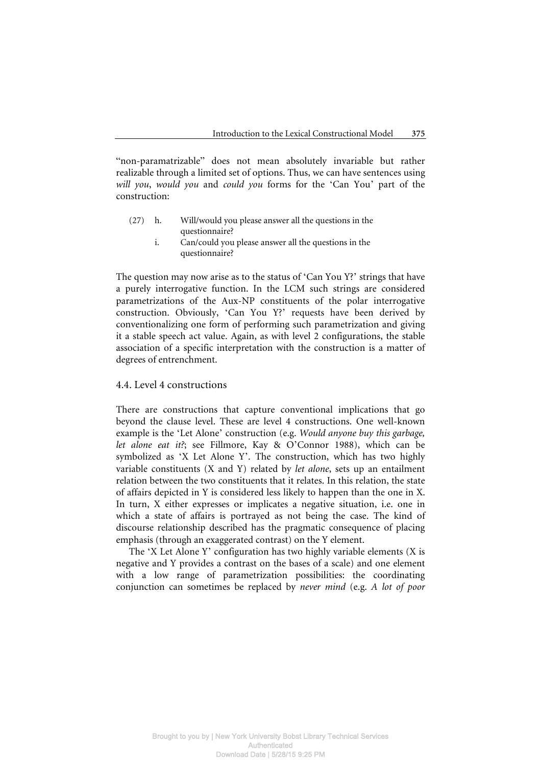"non-paramatrizable" does not mean absolutely invariable but rather realizable through a limited set of options. Thus, we can have sentences using *will you*, *would you* and *could you* forms for the 'Can You' part of the construction:

- (27) h. Will/would you please answer all the questions in the questionnaire?
	- i. Can/could you please answer all the questions in the questionnaire?

The question may now arise as to the status of 'Can You Y?' strings that have a purely interrogative function. In the LCM such strings are considered parametrizations of the Aux-NP constituents of the polar interrogative construction. Obviously, 'Can You Y?' requests have been derived by conventionalizing one form of performing such parametrization and giving it a stable speech act value. Again, as with level 2 configurations, the stable association of a specific interpretation with the construction is a matter of degrees of entrenchment.

# 4.4. Level 4 constructions

There are constructions that capture conventional implications that go beyond the clause level. These are level 4 constructions. One well-known example is the 'Let Alone' construction (e.g. *Would anyone buy this garbage, let alone eat it?*; see Fillmore, Kay & O'Connor 1988), which can be symbolized as 'X Let Alone Y'. The construction, which has two highly variable constituents (X and Y) related by *let alone*, sets up an entailment relation between the two constituents that it relates. In this relation, the state of affairs depicted in Y is considered less likely to happen than the one in X. In turn, X either expresses or implicates a negative situation, i.e. one in which a state of affairs is portrayed as not being the case. The kind of discourse relationship described has the pragmatic consequence of placing emphasis (through an exaggerated contrast) on the Y element.

The 'X Let Alone Y' configuration has two highly variable elements (X is negative and Y provides a contrast on the bases of a scale) and one element with a low range of parametrization possibilities: the coordinating conjunction can sometimes be replaced by *never mind* (e.g. *A lot of poor*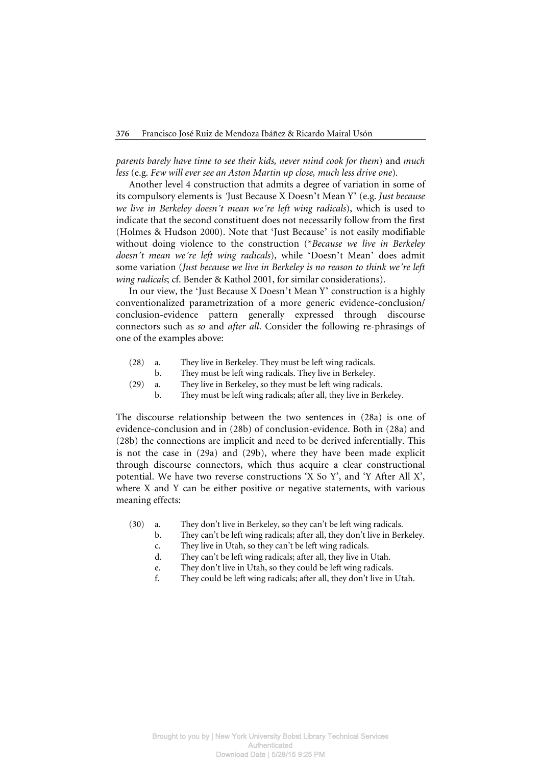*parents barely have time to see their kids, never mind cook for them*) and *much less* (e.g. *Few will ever see an Aston Martin up close, much less drive one*)*.*

Another level 4 construction that admits a degree of variation in some of its compulsory elements is *'*Just Because X Doesn't Mean Y' (e.g. *Just because we live in Berkeley doesn't mean we're left wing radicals*), which is used to indicate that the second constituent does not necessarily follow from the first (Holmes & Hudson 2000). Note that 'Just Because' is not easily modifiable without doing violence to the construction (\**Because we live in Berkeley doesn't mean we're left wing radicals*), while 'Doesn't Mean' does admit some variation (*Just because we live in Berkeley is no reason to think we're left wing radicals*; cf. Bender & Kathol 2001, for similar considerations).

In our view, the 'Just Because X Doesn't Mean Y' construction is a highly conventionalized parametrization of a more generic evidence-conclusion/ conclusion-evidence pattern generally expressed through discourse connectors such as *so* and *after all*. Consider the following re-phrasings of one of the examples above:

- (28) a. They live in Berkeley. They must be left wing radicals.
	- b. They must be left wing radicals. They live in Berkeley.
- (29) a. They live in Berkeley, so they must be left wing radicals.
	- b. They must be left wing radicals; after all, they live in Berkeley.

The discourse relationship between the two sentences in (28a) is one of evidence-conclusion and in (28b) of conclusion-evidence. Both in (28a) and (28b) the connections are implicit and need to be derived inferentially. This is not the case in (29a) and (29b), where they have been made explicit through discourse connectors, which thus acquire a clear constructional potential. We have two reverse constructions 'X So Y', and 'Y After All X', where X and Y can be either positive or negative statements, with various meaning effects:

- (30) a. They don't live in Berkeley, so they can't be left wing radicals.
	- b. They can't be left wing radicals; after all, they don't live in Berkeley.
		- c. They live in Utah, so they can't be left wing radicals.
	- d. They can't be left wing radicals; after all, they live in Utah.
	- e. They don't live in Utah, so they could be left wing radicals.
	- f. They could be left wing radicals; after all, they don't live in Utah.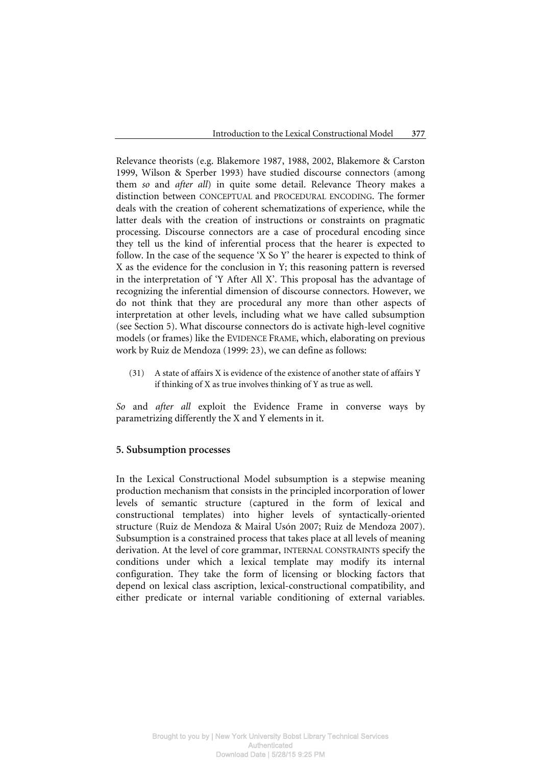Relevance theorists (e.g. Blakemore 1987, 1988, 2002, Blakemore & Carston 1999, Wilson & Sperber 1993) have studied discourse connectors (among them *so* and *after all*) in quite some detail. Relevance Theory makes a distinction between CONCEPTUAL and PROCEDURAL ENCODING. The former deals with the creation of coherent schematizations of experience, while the latter deals with the creation of instructions or constraints on pragmatic processing. Discourse connectors are a case of procedural encoding since they tell us the kind of inferential process that the hearer is expected to follow. In the case of the sequence 'X So Y' the hearer is expected to think of X as the evidence for the conclusion in Y; this reasoning pattern is reversed in the interpretation of 'Y After All X'. This proposal has the advantage of recognizing the inferential dimension of discourse connectors. However, we do not think that they are procedural any more than other aspects of interpretation at other levels, including what we have called subsumption (see Section 5). What discourse connectors do is activate high-level cognitive models (or frames) like the EVIDENCE FRAME, which, elaborating on previous work by Ruiz de Mendoza (1999: 23), we can define as follows:

 (31) A state of affairs X is evidence of the existence of another state of affairs Y if thinking of X as true involves thinking of Y as true as well.

*So* and *after all* exploit the Evidence Frame in converse ways by parametrizing differently the X and Y elements in it.

# **5. Subsumption processes**

In the Lexical Constructional Model subsumption is a stepwise meaning production mechanism that consists in the principled incorporation of lower levels of semantic structure (captured in the form of lexical and constructional templates) into higher levels of syntactically-oriented structure (Ruiz de Mendoza & Mairal Usón 2007; Ruiz de Mendoza 2007). Subsumption is a constrained process that takes place at all levels of meaning derivation. At the level of core grammar, INTERNAL CONSTRAINTS specify the conditions under which a lexical template may modify its internal configuration. They take the form of licensing or blocking factors that depend on lexical class ascription, lexical-constructional compatibility, and either predicate or internal variable conditioning of external variables.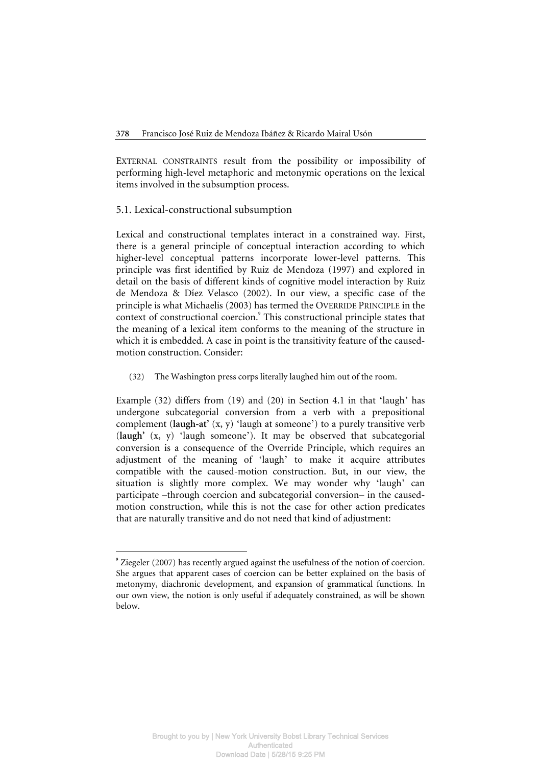EXTERNAL CONSTRAINTS result from the possibility or impossibility of performing high-level metaphoric and metonymic operations on the lexical items involved in the subsumption process.

#### 5.1. Lexical-constructional subsumption

 $\overline{a}$ 

Lexical and constructional templates interact in a constrained way. First, there is a general principle of conceptual interaction according to which higher-level conceptual patterns incorporate lower-level patterns. This principle was first identified by Ruiz de Mendoza (1997) and explored in detail on the basis of different kinds of cognitive model interaction by Ruiz de Mendoza & Díez Velasco (2002). In our view, a specific case of the principle is what Michaelis (2003) has termed the OVERRIDE PRINCIPLE in the context of constructional coercion.<sup>9</sup> This constructional principle states that the meaning of a lexical item conforms to the meaning of the structure in which it is embedded. A case in point is the transitivity feature of the causedmotion construction. Consider:

(32) The Washington press corps literally laughed him out of the room.

Example (32) differs from (19) and (20) in Section 4.1 in that 'laugh' has undergone subcategorial conversion from a verb with a prepositional complement (**laugh-at'** (x, y) 'laugh at someone') to a purely transitive verb (**laugh'** (x, y) 'laugh someone'). It may be observed that subcategorial conversion is a consequence of the Override Principle, which requires an adjustment of the meaning of 'laugh' to make it acquire attributes compatible with the caused-motion construction. But, in our view, the situation is slightly more complex. We may wonder why 'laugh' can participate –through coercion and subcategorial conversion– in the causedmotion construction, while this is not the case for other action predicates that are naturally transitive and do not need that kind of adjustment:

**<sup>9</sup>** Ziegeler (2007) has recently argued against the usefulness of the notion of coercion. She argues that apparent cases of coercion can be better explained on the basis of metonymy, diachronic development, and expansion of grammatical functions. In our own view, the notion is only useful if adequately constrained, as will be shown below.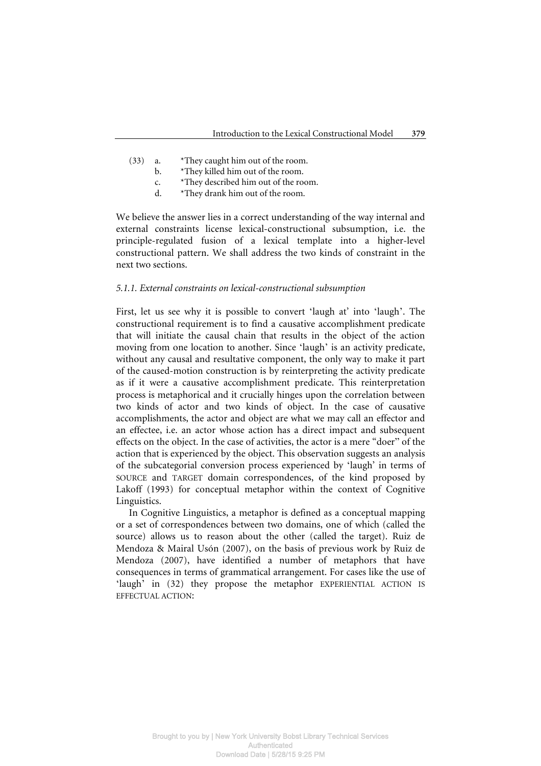- (33) a. \*They caught him out of the room.
	- b. \*They killed him out of the room.
	- c. \*They described him out of the room.
	- d. \*They drank him out of the room.

We believe the answer lies in a correct understanding of the way internal and external constraints license lexical-constructional subsumption, i.e. the principle-regulated fusion of a lexical template into a higher-level constructional pattern. We shall address the two kinds of constraint in the next two sections.

#### *5.1.1. External constraints on lexical-constructional subsumption*

First, let us see why it is possible to convert 'laugh at' into 'laugh'. The constructional requirement is to find a causative accomplishment predicate that will initiate the causal chain that results in the object of the action moving from one location to another. Since 'laugh' is an activity predicate, without any causal and resultative component, the only way to make it part of the caused-motion construction is by reinterpreting the activity predicate as if it were a causative accomplishment predicate. This reinterpretation process is metaphorical and it crucially hinges upon the correlation between two kinds of actor and two kinds of object. In the case of causative accomplishments, the actor and object are what we may call an effector and an effectee, i.e. an actor whose action has a direct impact and subsequent effects on the object. In the case of activities, the actor is a mere "doer" of the action that is experienced by the object. This observation suggests an analysis of the subcategorial conversion process experienced by 'laugh' in terms of SOURCE and TARGET domain correspondences, of the kind proposed by Lakoff (1993) for conceptual metaphor within the context of Cognitive Linguistics.

In Cognitive Linguistics, a metaphor is defined as a conceptual mapping or a set of correspondences between two domains, one of which (called the source) allows us to reason about the other (called the target). Ruiz de Mendoza & Mairal Usón (2007), on the basis of previous work by Ruiz de Mendoza (2007), have identified a number of metaphors that have consequences in terms of grammatical arrangement. For cases like the use of 'laugh' in (32) they propose the metaphor EXPERIENTIAL ACTION IS EFFECTUAL ACTION: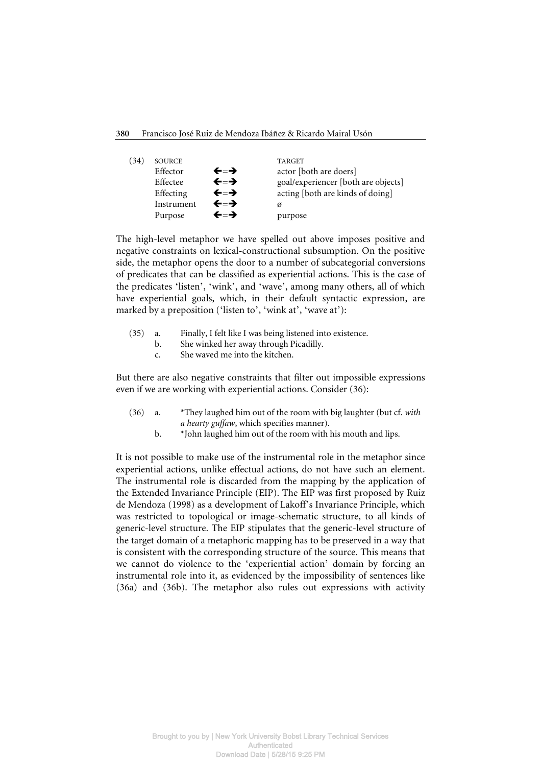| $\left(34\right)$ | <b>SOURCE</b> |     | <b>TARGET</b>                       |
|-------------------|---------------|-----|-------------------------------------|
|                   | Effector      | ←=→ | actor [both are doers]              |
|                   | Effectee      | ←=→ | goal/experiencer [both are objects] |
|                   | Effecting     | ←≕→ | acting [both are kinds of doing]    |
|                   | Instrument    | ←=→ | Ø                                   |
|                   | Purpose       | ←=→ | purpose                             |

The high-level metaphor we have spelled out above imposes positive and negative constraints on lexical-constructional subsumption. On the positive side, the metaphor opens the door to a number of subcategorial conversions of predicates that can be classified as experiential actions. This is the case of the predicates 'listen', 'wink', and 'wave', among many others, all of which have experiential goals, which, in their default syntactic expression, are marked by a preposition ('listen to', 'wink at', 'wave at'):

- (35) a. Finally, I felt like I was being listened into existence.
	- b. She winked her away through Picadilly.
	- c. She waved me into the kitchen.

But there are also negative constraints that filter out impossible expressions even if we are working with experiential actions. Consider (36):

- (36) a. \*They laughed him out of the room with big laughter (but cf. *with a hearty guffaw*, which specifies manner).
	- b.  $*$  John laughed him out of the room with his mouth and lips.

It is not possible to make use of the instrumental role in the metaphor since experiential actions, unlike effectual actions, do not have such an element. The instrumental role is discarded from the mapping by the application of the Extended Invariance Principle (EIP). The EIP was first proposed by Ruiz de Mendoza (1998) as a development of Lakoff's Invariance Principle, which was restricted to topological or image-schematic structure, to all kinds of generic-level structure. The EIP stipulates that the generic-level structure of the target domain of a metaphoric mapping has to be preserved in a way that is consistent with the corresponding structure of the source. This means that we cannot do violence to the 'experiential action' domain by forcing an instrumental role into it, as evidenced by the impossibility of sentences like (36a) and (36b). The metaphor also rules out expressions with activity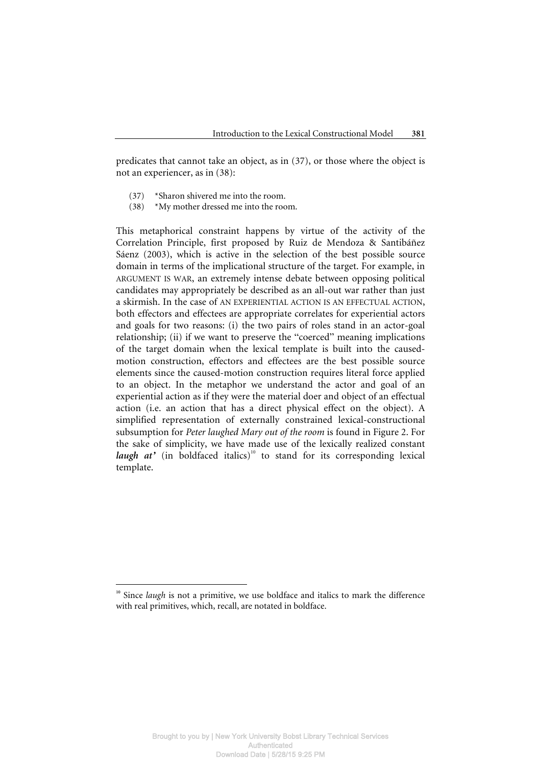predicates that cannot take an object, as in (37), or those where the object is not an experiencer, as in (38):

- (37) \*Sharon shivered me into the room.
- (38) \*My mother dressed me into the room.

This metaphorical constraint happens by virtue of the activity of the Correlation Principle, first proposed by Ruiz de Mendoza & Santibáñez Sáenz (2003), which is active in the selection of the best possible source domain in terms of the implicational structure of the target. For example, in ARGUMENT IS WAR, an extremely intense debate between opposing political candidates may appropriately be described as an all-out war rather than just a skirmish. In the case of AN EXPERIENTIAL ACTION IS AN EFFECTUAL ACTION, both effectors and effectees are appropriate correlates for experiential actors and goals for two reasons: (i) the two pairs of roles stand in an actor-goal relationship; (ii) if we want to preserve the "coerced" meaning implications of the target domain when the lexical template is built into the causedmotion construction, effectors and effectees are the best possible source elements since the caused-motion construction requires literal force applied to an object. In the metaphor we understand the actor and goal of an experiential action as if they were the material doer and object of an effectual action (i.e. an action that has a direct physical effect on the object). A simplified representation of externally constrained lexical-constructional subsumption for *Peter laughed Mary out of the room* is found in Figure 2. For the sake of simplicity, we have made use of the lexically realized constant *laugh at'* (in boldfaced italics)<sup>10</sup> to stand for its corresponding lexical template.

 $\overline{a}$ 

<sup>&</sup>lt;sup>10</sup> Since *laugh* is not a primitive, we use boldface and italics to mark the difference with real primitives, which, recall, are notated in boldface.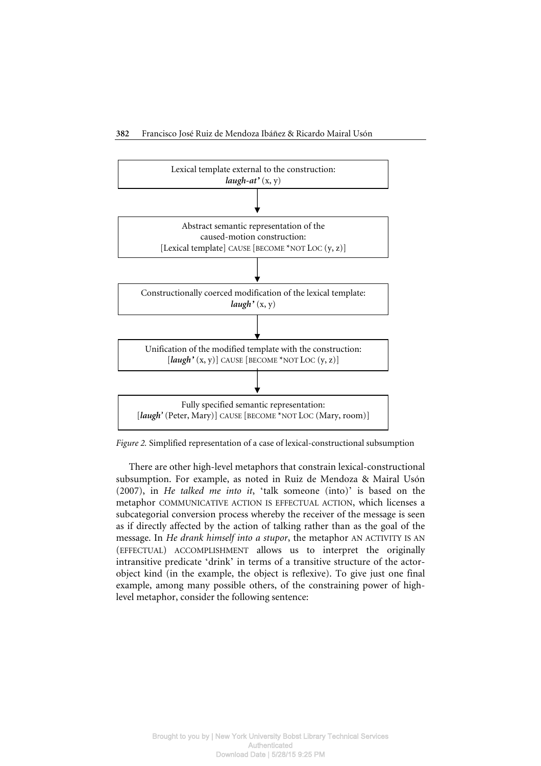

*Figure 2.* Simplified representation of a case of lexical-constructional subsumption

There are other high-level metaphors that constrain lexical-constructional subsumption. For example, as noted in Ruiz de Mendoza & Mairal Usón (2007), in *He talked me into it*, 'talk someone (into)' is based on the metaphor COMMUNICATIVE ACTION IS EFFECTUAL ACTION, which licenses a subcategorial conversion process whereby the receiver of the message is seen as if directly affected by the action of talking rather than as the goal of the message. In *He drank himself into a stupor*, the metaphor AN ACTIVITY IS AN (EFFECTUAL) ACCOMPLISHMENT allows us to interpret the originally intransitive predicate 'drink' in terms of a transitive structure of the actorobject kind (in the example, the object is reflexive). To give just one final example, among many possible others, of the constraining power of highlevel metaphor, consider the following sentence: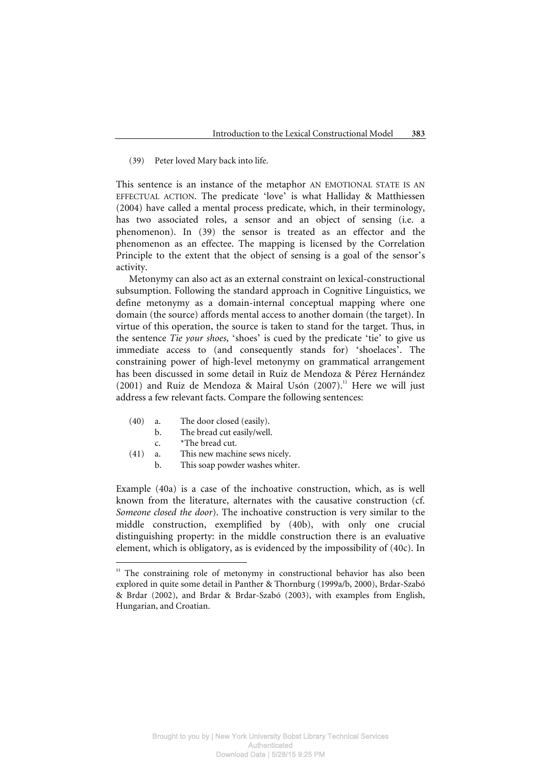#### (39) Peter loved Mary back into life.

This sentence is an instance of the metaphor AN EMOTIONAL STATE IS AN EFFECTUAL ACTION. The predicate 'love' is what Halliday & Matthiessen (2004) have called a mental process predicate, which, in their terminology, has two associated roles, a sensor and an object of sensing (i.e. a phenomenon). In (39) the sensor is treated as an effector and the phenomenon as an effectee. The mapping is licensed by the Correlation Principle to the extent that the object of sensing is a goal of the sensor's activity.

Metonymy can also act as an external constraint on lexical-constructional subsumption. Following the standard approach in Cognitive Linguistics, we define metonymy as a domain-internal conceptual mapping where one domain (the source) affords mental access to another domain (the target). In virtue of this operation, the source is taken to stand for the target. Thus, in the sentence *Tie your shoes*, 'shoes' is cued by the predicate 'tie' to give us immediate access to (and consequently stands for) 'shoelaces'. The constraining power of high-level metonymy on grammatical arrangement has been discussed in some detail in Ruiz de Mendoza & Pérez Hernández (2001) and Ruiz de Mendoza & Mairal Usón (2007).<sup>11</sup> Here we will just address a few relevant facts. Compare the following sentences:

- (40) a. The door closed (easily).
	- b. The bread cut easily/well.
	-

 $\overline{a}$ 

- c. \*The bread cut.<br>(41) a. This new machi This new machine sews nicely.
	- b. This soap powder washes whiter.

Example (40a) is a case of the inchoative construction, which, as is well known from the literature, alternates with the causative construction (cf. *Someone closed the door*). The inchoative construction is very similar to the middle construction, exemplified by (40b), with only one crucial distinguishing property: in the middle construction there is an evaluative element, which is obligatory, as is evidenced by the impossibility of (40c). In

<sup>&</sup>lt;sup>11</sup> The constraining role of metonymy in constructional behavior has also been explored in quite some detail in Panther & Thornburg (1999a/b, 2000), Brdar-Szabó & Brdar (2002), and Brdar & Brdar-Szabó (2003), with examples from English, Hungarian, and Croatian.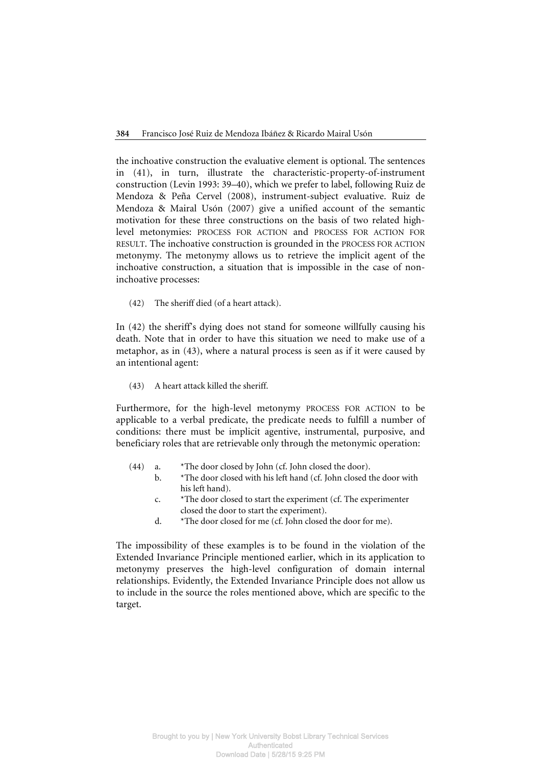the inchoative construction the evaluative element is optional. The sentences in (41), in turn, illustrate the characteristic-property-of-instrument construction (Levin 1993: 39–40), which we prefer to label, following Ruiz de Mendoza & Peña Cervel (2008), instrument-subject evaluative. Ruiz de Mendoza & Mairal Usón (2007) give a unified account of the semantic motivation for these three constructions on the basis of two related highlevel metonymies: PROCESS FOR ACTION and PROCESS FOR ACTION FOR RESULT. The inchoative construction is grounded in the PROCESS FOR ACTION metonymy. The metonymy allows us to retrieve the implicit agent of the inchoative construction, a situation that is impossible in the case of noninchoative processes:

(42) The sheriff died (of a heart attack).

In (42) the sheriff's dying does not stand for someone willfully causing his death. Note that in order to have this situation we need to make use of a metaphor, as in (43), where a natural process is seen as if it were caused by an intentional agent:

(43) A heart attack killed the sheriff.

Furthermore, for the high-level metonymy PROCESS FOR ACTION to be applicable to a verbal predicate, the predicate needs to fulfill a number of conditions: there must be implicit agentive, instrumental, purposive, and beneficiary roles that are retrievable only through the metonymic operation:

- (44) a. \*The door closed by John (cf. John closed the door).
	- b. \*The door closed with his left hand (cf. John closed the door with his left hand).
	- c. \*The door closed to start the experiment (cf. The experimenter closed the door to start the experiment).
	- d. \*The door closed for me (cf. John closed the door for me).

The impossibility of these examples is to be found in the violation of the Extended Invariance Principle mentioned earlier, which in its application to metonymy preserves the high-level configuration of domain internal relationships. Evidently, the Extended Invariance Principle does not allow us to include in the source the roles mentioned above, which are specific to the target.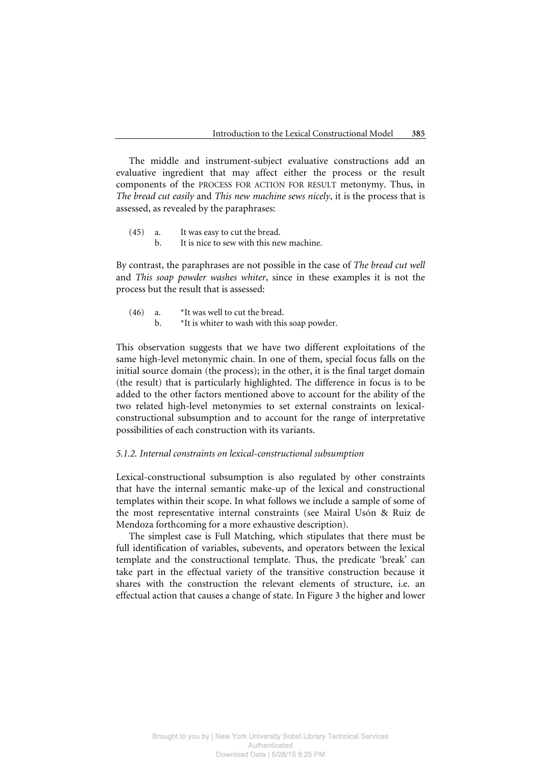The middle and instrument-subject evaluative constructions add an evaluative ingredient that may affect either the process or the result components of the PROCESS FOR ACTION FOR RESULT metonymy. Thus, in *The bread cut easily* and *This new machine sews nicely*, it is the process that is assessed, as revealed by the paraphrases:

- (45) a. It was easy to cut the bread.
	- b. It is nice to sew with this new machine.

By contrast, the paraphrases are not possible in the case of *The bread cut well* and *This soap powder washes whiter*, since in these examples it is not the process but the result that is assessed:

- $(46)$  a. \*It was well to cut the bread.
	- b.  $*$ It is whiter to wash with this soap powder.

This observation suggests that we have two different exploitations of the same high-level metonymic chain. In one of them, special focus falls on the initial source domain (the process); in the other, it is the final target domain (the result) that is particularly highlighted. The difference in focus is to be added to the other factors mentioned above to account for the ability of the two related high-level metonymies to set external constraints on lexicalconstructional subsumption and to account for the range of interpretative possibilities of each construction with its variants.

#### *5.1.2. Internal constraints on lexical-constructional subsumption*

Lexical-constructional subsumption is also regulated by other constraints that have the internal semantic make-up of the lexical and constructional templates within their scope. In what follows we include a sample of some of the most representative internal constraints (see Mairal Usón & Ruiz de Mendoza forthcoming for a more exhaustive description).

The simplest case is Full Matching, which stipulates that there must be full identification of variables, subevents, and operators between the lexical template and the constructional template. Thus, the predicate 'break' can take part in the effectual variety of the transitive construction because it shares with the construction the relevant elements of structure, i.e. an effectual action that causes a change of state. In Figure 3 the higher and lower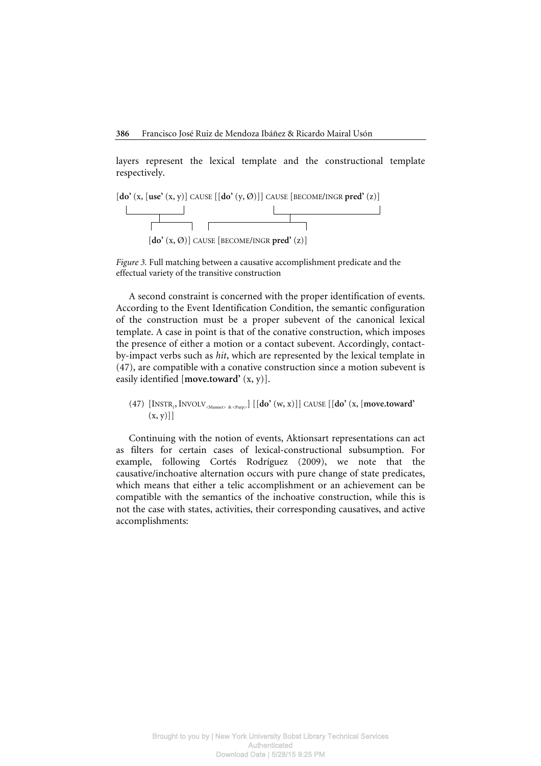layers represent the lexical template and the constructional template respectively.



*Figure 3.* Full matching between a causative accomplishment predicate and the effectual variety of the transitive construction

A second constraint is concerned with the proper identification of events. According to the Event Identification Condition, the semantic configuration of the construction must be a proper subevent of the canonical lexical template. A case in point is that of the conative construction, which imposes the presence of either a motion or a contact subevent. Accordingly, contactby-impact verbs such as *hit*, which are represented by the lexical template in (47), are compatible with a conative construction since a motion subevent is easily identified [**move.toward'** (x, y)].

 $(47)$  [INSTR<sub>1</sub>, INVOLV<sub><Manner> &<Purp>]</sub> [[**do'**  $(w, x)$ ]] CAUSE [[**do'**  $(x,$  [**move.toward'**  $(x, y)$ ]

Continuing with the notion of events, Aktionsart representations can act as filters for certain cases of lexical-constructional subsumption. For example, following Cortés Rodríguez (2009), we note that the causative/inchoative alternation occurs with pure change of state predicates, which means that either a telic accomplishment or an achievement can be compatible with the semantics of the inchoative construction, while this is not the case with states, activities, their corresponding causatives, and active accomplishments: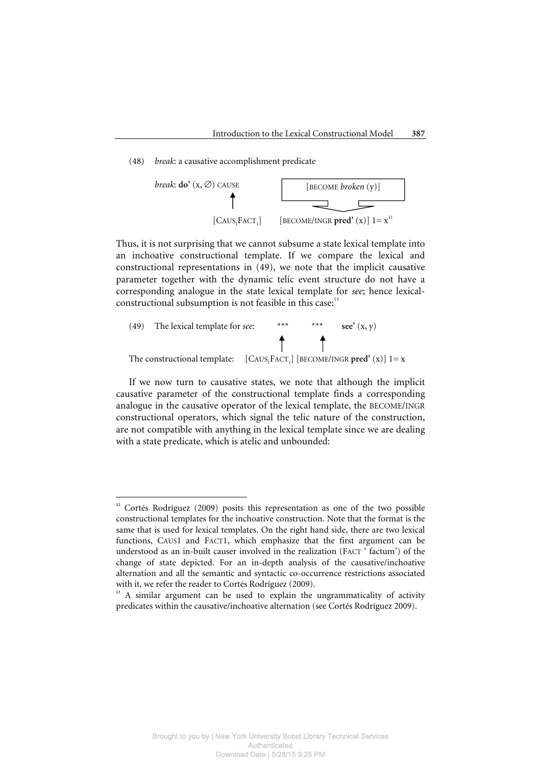#### (48) *break*: a causative accomplishment predicate



Thus, it is not surprising that we cannot subsume a state lexical template into an inchoative constructional template. If we compare the lexical and constructional representations in (49), we note that the implicit causative parameter together with the dynamic telic event structure do not have a corresponding analogue in the state lexical template for *see*; hence lexicalconstructional subsumption is not feasible in this case:<sup>13</sup>

 (49) The lexical template for *see*: \*\*\* \*\*\* **see'** (x, y) The constructional template: [CAUS1 FACT1 ] [BECOME/INGR **pred'** (x)] 1= x

If we now turn to causative states, we note that although the implicit causative parameter of the constructional template finds a corresponding analogue in the causative operator of the lexical template, the BECOME/INGR constructional operators, which signal the telic nature of the construction, are not compatible with anything in the lexical template since we are dealing with a state predicate, which is atelic and unbounded:

 $\overline{a}$ 

<sup>&</sup>lt;sup>12</sup> Cortés Rodríguez (2009) posits this representation as one of the two possible constructional templates for the inchoative construction. Note that the format is the same that is used for lexical templates. On the right hand side, there are two lexical functions, CAUS1 and FACT1, which emphasize that the first argument can be understood as an in-built causer involved in the realization (FACT ' factum') of the change of state depicted. For an in-depth analysis of the causative/inchoative alternation and all the semantic and syntactic co-occurrence restrictions associated with it, we refer the reader to Cortés Rodríguez (2009).

<sup>&</sup>lt;sup>13</sup> A similar argument can be used to explain the ungrammaticality of activity predicates within the causative/inchoative alternation (see Cortés Rodríguez 2009).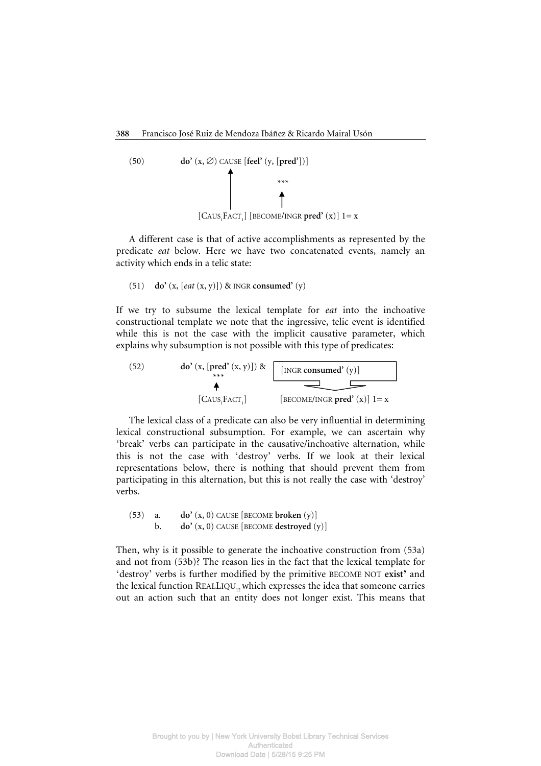(50) **do'** 
$$
(x, \varnothing)
$$
 CAUSE [feel'  $(y, [\text{pred'}])$ ]  
\n
$$
\downarrow
$$
  
\n
$$
\downarrow
$$
  
\n[CAUS<sub>1</sub>FACT<sub>1</sub>] [BECOME/INGR pred'  $(x)$ ]  $1=x$ 

A different case is that of active accomplishments as represented by the predicate *eat* below. Here we have two concatenated events, namely an activity which ends in a telic state:

(51) **do'** (x, [*eat* (x, y)]) & INGR **consumed'** (y)

If we try to subsume the lexical template for *eat* into the inchoative constructional template we note that the ingressive, telic event is identified while this is not the case with the implicit causative parameter, which explains why subsumption is not possible with this type of predicates:

(52) **do'** (x, [pred' (x, y)]) & [INGR consumed' (y)]  
\n
$$
[CAUS_1FACT_1]
$$
 [BECOME/INGR pred' (x)] 1= x

The lexical class of a predicate can also be very influential in determining lexical constructional subsumption. For example, we can ascertain why 'break' verbs can participate in the causative/inchoative alternation, while this is not the case with 'destroy' verbs. If we look at their lexical representations below, there is nothing that should prevent them from participating in this alternation, but this is not really the case with 'destroy' verbs.

 (53) a. **do'** (x, 0) CAUSE [BECOME **broken** (y)] b. **do'** (x, 0) CAUSE [BECOME **destroyed** (y)]

Then, why is it possible to generate the inchoative construction from (53a) and not from (53b)? The reason lies in the fact that the lexical template for 'destroy' verbs is further modified by the primitive BECOME NOT **exist'** and the lexical function  $REALLIQU<sub>1</sub>$ , which expresses the idea that someone carries out an action such that an entity does not longer exist. This means that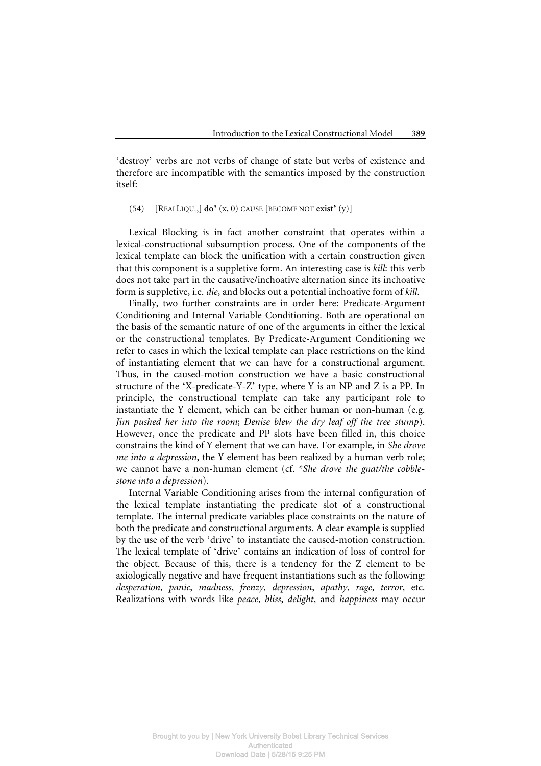'destroy' verbs are not verbs of change of state but verbs of existence and therefore are incompatible with the semantics imposed by the construction itself:

## (54)  $[REALLIQU_{12}]$  **do**<sup> $\bullet$ </sup> (x, 0) CAUSE  $[BECOME NOT exist^{\bullet} (y)]$

Lexical Blocking is in fact another constraint that operates within a lexical-constructional subsumption process. One of the components of the lexical template can block the unification with a certain construction given that this component is a suppletive form. An interesting case is *kill*: this verb does not take part in the causative/inchoative alternation since its inchoative form is suppletive, i.e. *die*, and blocks out a potential inchoative form of *kill*.

Finally, two further constraints are in order here: Predicate-Argument Conditioning and Internal Variable Conditioning. Both are operational on the basis of the semantic nature of one of the arguments in either the lexical or the constructional templates. By Predicate-Argument Conditioning we refer to cases in which the lexical template can place restrictions on the kind of instantiating element that we can have for a constructional argument. Thus, in the caused-motion construction we have a basic constructional structure of the 'X-predicate-Y-Z' type, where Y is an NP and Z is a PP. In principle, the constructional template can take any participant role to instantiate the Y element, which can be either human or non-human (e.g. *Jim pushed her into the room*; *Denise blew the dry leaf off the tree stump*). However, once the predicate and PP slots have been filled in, this choice constrains the kind of Y element that we can have. For example, in *She drove me into a depression*, the Y element has been realized by a human verb role; we cannot have a non-human element (cf. \**She drove the gnat/the cobblestone into a depression*).

Internal Variable Conditioning arises from the internal configuration of the lexical template instantiating the predicate slot of a constructional template. The internal predicate variables place constraints on the nature of both the predicate and constructional arguments. A clear example is supplied by the use of the verb 'drive' to instantiate the caused-motion construction. The lexical template of 'drive' contains an indication of loss of control for the object. Because of this, there is a tendency for the Z element to be axiologically negative and have frequent instantiations such as the following: *desperation*, *panic*, *madness*, *frenzy*, *depression*, *apathy*, *rage*, *terror*, etc. Realizations with words like *peace*, *bliss*, *delight*, and *happiness* may occur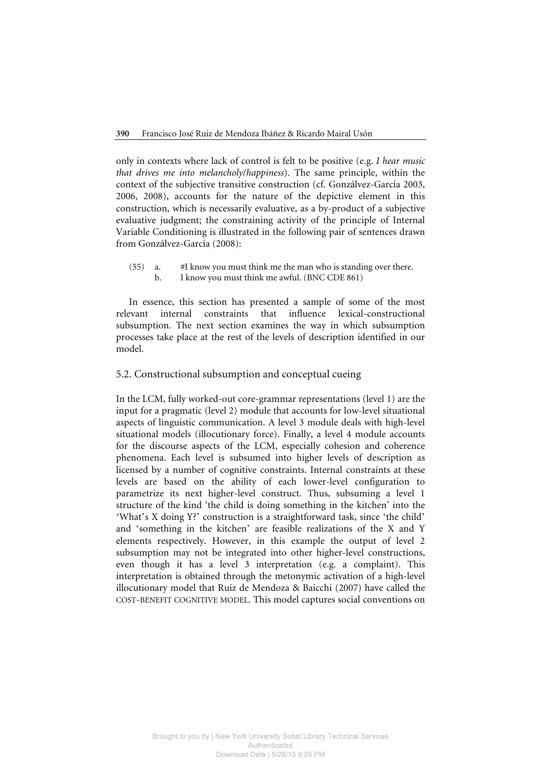only in contexts where lack of control is felt to be positive (e.g. *I hear music that drives me into melancholy*/*happiness*). The same principle, within the context of the subjective transitive construction (cf. Gonzálvez-García 2003, 2006, 2008), accounts for the nature of the depictive element in this construction, which is necessarily evaluative, as a by-product of a subjective evaluative judgment; the constraining activity of the principle of Internal Variable Conditioning is illustrated in the following pair of sentences drawn from Gonzálvez-García (2008):

 (55) a. #I know you must think me the man who is standing over there. b. I know you must think me awful. (BNC CDE 861)

In essence, this section has presented a sample of some of the most relevant internal constraints that influence lexical-constructional subsumption. The next section examines the way in which subsumption processes take place at the rest of the levels of description identified in our model.

# 5.2. Constructional subsumption and conceptual cueing

In the LCM, fully worked-out core-grammar representations (level 1) are the input for a pragmatic (level 2) module that accounts for low-level situational aspects of linguistic communication. A level 3 module deals with high-level situational models (illocutionary force). Finally, a level 4 module accounts for the discourse aspects of the LCM, especially cohesion and coherence phenomena. Each level is subsumed into higher levels of description as licensed by a number of cognitive constraints. Internal constraints at these levels are based on the ability of each lower-level configuration to parametrize its next higher-level construct. Thus, subsuming a level 1 structure of the kind 'the child is doing something in the kitchen' into the 'What's X doing Y?' construction is a straightforward task, since 'the child' and 'something in the kitchen' are feasible realizations of the X and Y elements respectively. However, in this example the output of level 2 subsumption may not be integrated into other higher-level constructions, even though it has a level 3 interpretation (e.g. a complaint). This interpretation is obtained through the metonymic activation of a high-level illocutionary model that Ruiz de Mendoza & Baicchi (2007) have called the COST-BENEFIT COGNITIVE MODEL. This model captures social conventions on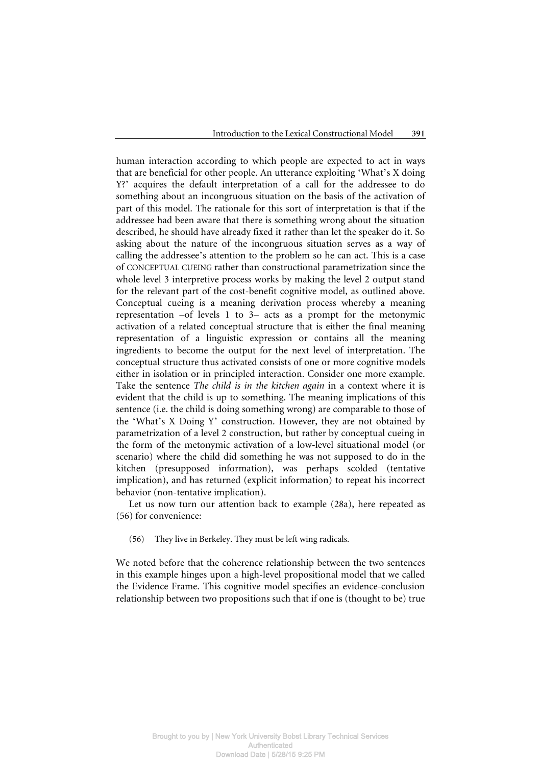human interaction according to which people are expected to act in ways that are beneficial for other people. An utterance exploiting 'What's X doing Y?' acquires the default interpretation of a call for the addressee to do something about an incongruous situation on the basis of the activation of part of this model. The rationale for this sort of interpretation is that if the addressee had been aware that there is something wrong about the situation described, he should have already fixed it rather than let the speaker do it. So asking about the nature of the incongruous situation serves as a way of calling the addressee's attention to the problem so he can act. This is a case of CONCEPTUAL CUEING rather than constructional parametrization since the whole level 3 interpretive process works by making the level 2 output stand for the relevant part of the cost-benefit cognitive model, as outlined above. Conceptual cueing is a meaning derivation process whereby a meaning representation –of levels 1 to 3– acts as a prompt for the metonymic activation of a related conceptual structure that is either the final meaning representation of a linguistic expression or contains all the meaning ingredients to become the output for the next level of interpretation. The conceptual structure thus activated consists of one or more cognitive models either in isolation or in principled interaction. Consider one more example. Take the sentence *The child is in the kitchen again* in a context where it is evident that the child is up to something. The meaning implications of this sentence (i.e. the child is doing something wrong) are comparable to those of the 'What's X Doing Y' construction. However, they are not obtained by parametrization of a level 2 construction, but rather by conceptual cueing in the form of the metonymic activation of a low-level situational model (or scenario) where the child did something he was not supposed to do in the kitchen (presupposed information), was perhaps scolded (tentative implication), and has returned (explicit information) to repeat his incorrect behavior (non-tentative implication).

Let us now turn our attention back to example (28a), here repeated as (56) for convenience:

(56) They live in Berkeley. They must be left wing radicals.

We noted before that the coherence relationship between the two sentences in this example hinges upon a high-level propositional model that we called the Evidence Frame. This cognitive model specifies an evidence-conclusion relationship between two propositions such that if one is (thought to be) true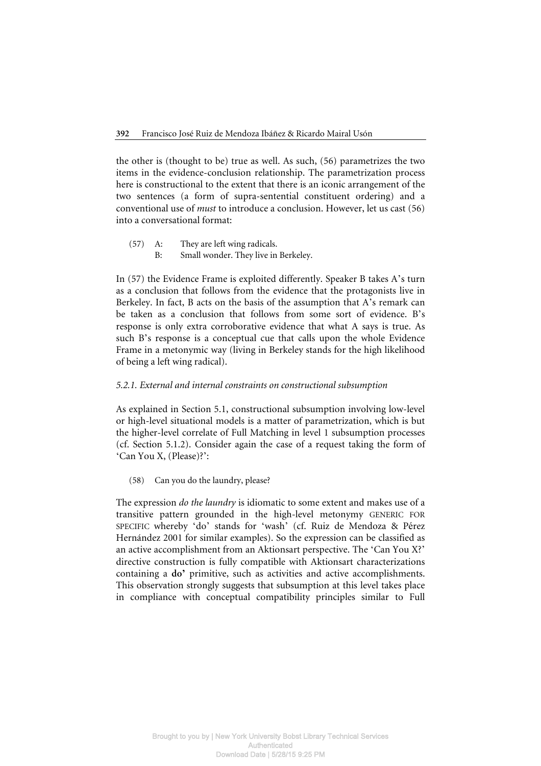the other is (thought to be) true as well. As such, (56) parametrizes the two items in the evidence-conclusion relationship. The parametrization process here is constructional to the extent that there is an iconic arrangement of the two sentences (a form of supra-sentential constituent ordering) and a conventional use of *must* to introduce a conclusion. However, let us cast (56) into a conversational format:

 (57) A: They are left wing radicals. B: Small wonder. They live in Berkeley.

In (57) the Evidence Frame is exploited differently. Speaker B takes A's turn as a conclusion that follows from the evidence that the protagonists live in Berkeley. In fact, B acts on the basis of the assumption that A's remark can be taken as a conclusion that follows from some sort of evidence. B's response is only extra corroborative evidence that what A says is true. As such B's response is a conceptual cue that calls upon the whole Evidence Frame in a metonymic way (living in Berkeley stands for the high likelihood of being a left wing radical).

# *5.2.1. External and internal constraints on constructional subsumption*

As explained in Section 5.1, constructional subsumption involving low-level or high-level situational models is a matter of parametrization, which is but the higher-level correlate of Full Matching in level 1 subsumption processes (cf. Section 5.1.2). Consider again the case of a request taking the form of 'Can You X, (Please)?':

(58) Can you do the laundry, please?

The expression *do the laundry* is idiomatic to some extent and makes use of a transitive pattern grounded in the high-level metonymy GENERIC FOR SPECIFIC whereby 'do' stands for 'wash' (cf. Ruiz de Mendoza & Pérez Hernández 2001 for similar examples). So the expression can be classified as an active accomplishment from an Aktionsart perspective. The 'Can You X?' directive construction is fully compatible with Aktionsart characterizations containing a **do'** primitive, such as activities and active accomplishments. This observation strongly suggests that subsumption at this level takes place in compliance with conceptual compatibility principles similar to Full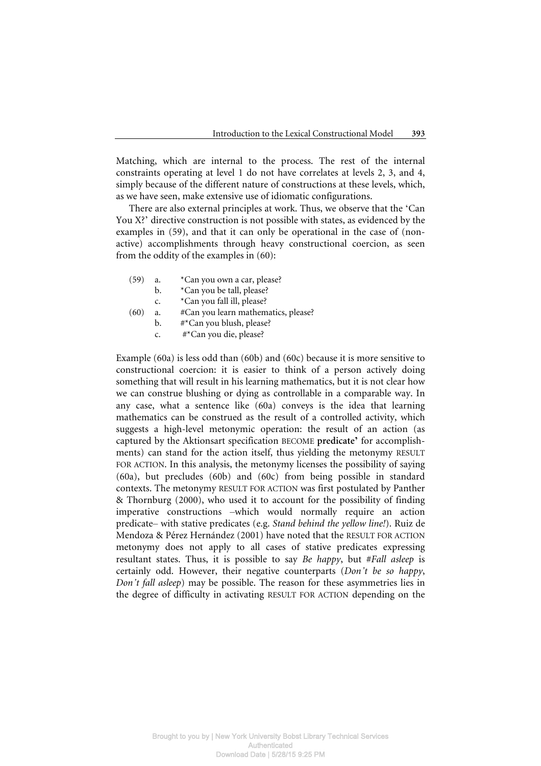Matching, which are internal to the process. The rest of the internal constraints operating at level 1 do not have correlates at levels 2, 3, and 4, simply because of the different nature of constructions at these levels, which, as we have seen, make extensive use of idiomatic configurations.

There are also external principles at work. Thus, we observe that the 'Can You X?' directive construction is not possible with states, as evidenced by the examples in (59), and that it can only be operational in the case of (nonactive) accomplishments through heavy constructional coercion, as seen from the oddity of the examples in (60):

- (59) a. \*Can you own a car, please?
	- b. \*Can you be tall, please?
	- c. \*Can you fall ill, please?
- (60) a. #Can you learn mathematics, please?
	- b. #\*Can you blush, please?
	- c. #\*Can you die, please?

Example (60a) is less odd than (60b) and (60c) because it is more sensitive to constructional coercion: it is easier to think of a person actively doing something that will result in his learning mathematics, but it is not clear how we can construe blushing or dying as controllable in a comparable way. In any case, what a sentence like (60a) conveys is the idea that learning mathematics can be construed as the result of a controlled activity, which suggests a high-level metonymic operation: the result of an action (as captured by the Aktionsart specification BECOME **predicate'** for accomplishments) can stand for the action itself, thus yielding the metonymy RESULT FOR ACTION. In this analysis, the metonymy licenses the possibility of saying (60a), but precludes (60b) and (60c) from being possible in standard contexts. The metonymy RESULT FOR ACTION was first postulated by Panther & Thornburg (2000), who used it to account for the possibility of finding imperative constructions –which would normally require an action predicate– with stative predicates (e.g. *Stand behind the yellow line!*). Ruiz de Mendoza & Pérez Hernández (2001) have noted that the RESULT FOR ACTION metonymy does not apply to all cases of stative predicates expressing resultant states. Thus, it is possible to say *Be happy*, but #*Fall asleep* is certainly odd. However, their negative counterparts (*Don't be so happy*, *Don't fall asleep*) may be possible. The reason for these asymmetries lies in the degree of difficulty in activating RESULT FOR ACTION depending on the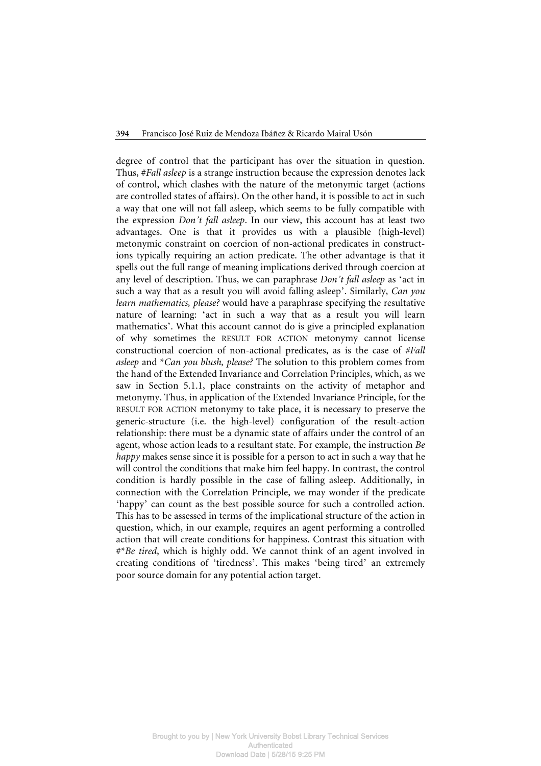degree of control that the participant has over the situation in question. Thus, #*Fall asleep* is a strange instruction because the expression denotes lack of control, which clashes with the nature of the metonymic target (actions are controlled states of affairs). On the other hand, it is possible to act in such a way that one will not fall asleep, which seems to be fully compatible with the expression *Don't fall asleep*. In our view, this account has at least two advantages. One is that it provides us with a plausible (high-level) metonymic constraint on coercion of non-actional predicates in constructions typically requiring an action predicate. The other advantage is that it spells out the full range of meaning implications derived through coercion at any level of description. Thus, we can paraphrase *Don't fall asleep* as 'act in such a way that as a result you will avoid falling asleep'. Similarly, *Can you learn mathematics, please?* would have a paraphrase specifying the resultative nature of learning: 'act in such a way that as a result you will learn mathematics'. What this account cannot do is give a principled explanation of why sometimes the RESULT FOR ACTION metonymy cannot license constructional coercion of non-actional predicates, as is the case of *#Fall asleep* and \**Can you blush, please?* The solution to this problem comes from the hand of the Extended Invariance and Correlation Principles, which, as we saw in Section 5.1.1, place constraints on the activity of metaphor and metonymy. Thus, in application of the Extended Invariance Principle, for the RESULT FOR ACTION metonymy to take place, it is necessary to preserve the generic-structure (i.e. the high-level) configuration of the result-action relationship: there must be a dynamic state of affairs under the control of an agent, whose action leads to a resultant state. For example, the instruction *Be happy* makes sense since it is possible for a person to act in such a way that he will control the conditions that make him feel happy. In contrast, the control condition is hardly possible in the case of falling asleep. Additionally, in connection with the Correlation Principle, we may wonder if the predicate 'happy' can count as the best possible source for such a controlled action. This has to be assessed in terms of the implicational structure of the action in question, which, in our example, requires an agent performing a controlled action that will create conditions for happiness. Contrast this situation with #\**Be tired*, which is highly odd. We cannot think of an agent involved in creating conditions of 'tiredness'. This makes 'being tired' an extremely poor source domain for any potential action target.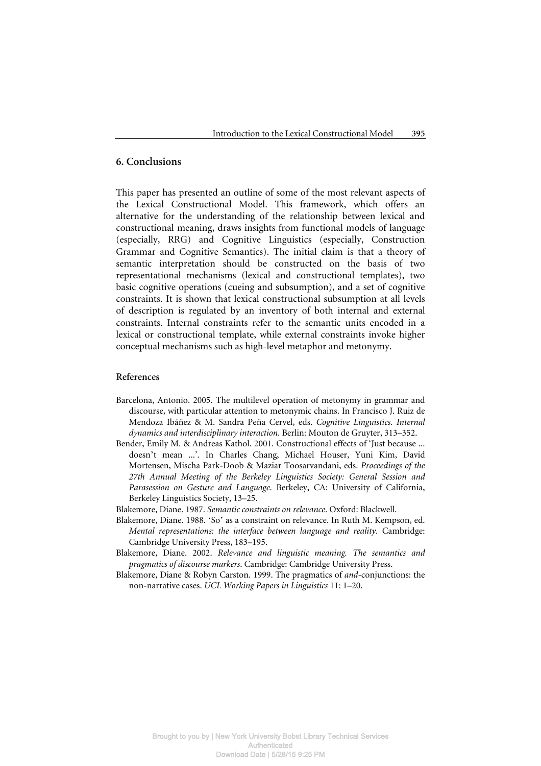# **6. Conclusions**

This paper has presented an outline of some of the most relevant aspects of the Lexical Constructional Model. This framework, which offers an alternative for the understanding of the relationship between lexical and constructional meaning, draws insights from functional models of language (especially, RRG) and Cognitive Linguistics (especially, Construction Grammar and Cognitive Semantics). The initial claim is that a theory of semantic interpretation should be constructed on the basis of two representational mechanisms (lexical and constructional templates), two basic cognitive operations (cueing and subsumption), and a set of cognitive constraints. It is shown that lexical constructional subsumption at all levels of description is regulated by an inventory of both internal and external constraints. Internal constraints refer to the semantic units encoded in a lexical or constructional template, while external constraints invoke higher conceptual mechanisms such as high-level metaphor and metonymy.

## **References**

- Barcelona, Antonio. 2005. The multilevel operation of metonymy in grammar and discourse, with particular attention to metonymic chains. In Francisco J. Ruiz de Mendoza Ibáñez & M. Sandra Peña Cervel, eds. *Cognitive Linguistics. Internal dynamics and interdisciplinary interaction*. Berlin: Mouton de Gruyter, 313–352.
- Bender, Emily M. & Andreas Kathol. 2001. Constructional effects of 'Just because ... doesn't mean ...'. In Charles Chang, Michael Houser, Yuni Kim, David Mortensen, Mischa Park-Doob & Maziar Toosarvandani, eds. *Proceedings of the 27th Annual Meeting of the Berkeley Linguistics Society: General Session and Parasession on Gesture and Language*. Berkeley, CA: University of California, Berkeley Linguistics Society, 13–25.
- Blakemore, Diane. 1987. *Semantic constraints on relevance*. Oxford: Blackwell.
- Blakemore, Diane. 1988. 'So' as a constraint on relevance. In Ruth M. Kempson, ed. *Mental representations: the interface between language and reality*. Cambridge: Cambridge University Press, 183–195.
- Blakemore, Diane. 2002. *Relevance and linguistic meaning. The semantics and pragmatics of discourse markers*. Cambridge: Cambridge University Press.
- Blakemore, Diane & Robyn Carston. 1999. The pragmatics of *and*-conjunctions: the non-narrative cases. *UCL Working Papers in Linguistics* 11: 1–20.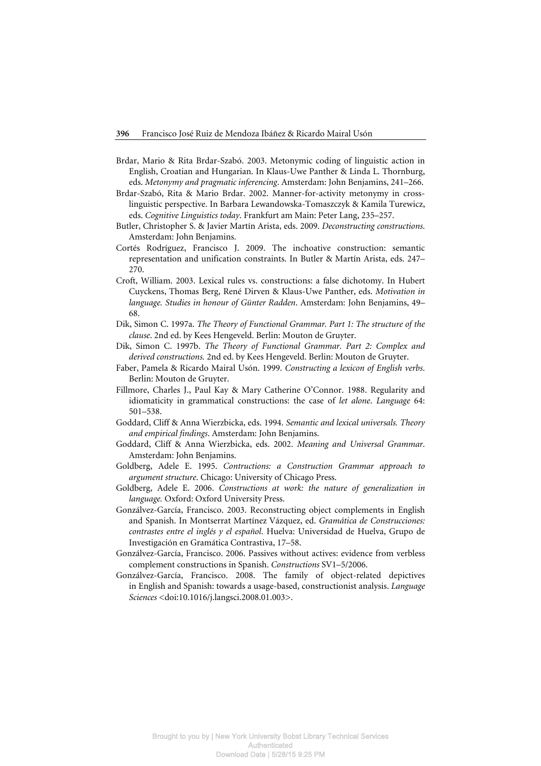- Brdar, Mario & Rita Brdar-Szabó. 2003. Metonymic coding of linguistic action in English, Croatian and Hungarian. In Klaus-Uwe Panther & Linda L. Thornburg, eds. *Metonymy and pragmatic inferencing*. Amsterdam: John Benjamins, 241–266.
- Brdar-Szabó, Rita & Mario Brdar. 2002. Manner-for-activity metonymy in crosslinguistic perspective. In Barbara Lewandowska-Tomaszczyk & Kamila Turewicz, eds. *Cognitive Linguistics today*. Frankfurt am Main: Peter Lang, 235–257.
- Butler, Christopher S. & Javier Martín Arista, eds. 2009. *Deconstructing constructions*. Amsterdam: John Benjamins.
- Cortés Rodríguez, Francisco J. 2009. The inchoative construction: semantic representation and unification constraints. In Butler & Martín Arista, eds. 247– 270.
- Croft, William. 2003. Lexical rules vs. constructions: a false dichotomy. In Hubert Cuyckens, Thomas Berg, René Dirven & Klaus-Uwe Panther, eds. *Motivation in language. Studies in honour of Günter Radden*. Amsterdam: John Benjamins, 49– 68.
- Dik, Simon C. 1997a. *The Theory of Functional Grammar. Part 1: The structure of the clause*. 2nd ed. by Kees Hengeveld. Berlin: Mouton de Gruyter.
- Dik, Simon C. 1997b. *The Theory of Functional Grammar. Part 2: Complex and derived constructions.* 2nd ed. by Kees Hengeveld. Berlin: Mouton de Gruyter.
- Faber, Pamela & Ricardo Mairal Usón. 1999. *Constructing a lexicon of English verbs*. Berlin: Mouton de Gruyter.
- Fillmore, Charles J., Paul Kay & Mary Catherine O'Connor. 1988. Regularity and idiomaticity in grammatical constructions: the case of *let alone*. *Language* 64: 501–538.
- Goddard, Cliff & Anna Wierzbicka, eds. 1994. *Semantic and lexical universals. Theory and empirical findings*. Amsterdam: John Benjamins.
- Goddard, Cliff & Anna Wierzbicka, eds. 2002. *Meaning and Universal Grammar*. Amsterdam: John Benjamins.
- Goldberg, Adele E. 1995. *Contructions: a Construction Grammar approach to argument structure*. Chicago: University of Chicago Press.
- Goldberg, Adele E. 2006. *Constructions at work: the nature of generalization in language.* Oxford: Oxford University Press.
- Gonzálvez-García, Francisco. 2003. Reconstructing object complements in English and Spanish. In Montserrat Martínez Vázquez, ed. *Gramática de Construcciones: contrastes entre el inglés y el español*. Huelva: Universidad de Huelva, Grupo de Investigación en Gramática Contrastiva, 17–58.
- Gonzálvez-García, Francisco. 2006. Passives without actives: evidence from verbless complement constructions in Spanish. *Constructions* SV1–5/2006.
- Gonzálvez-García, Francisco. 2008. The family of object-related depictives in English and Spanish: towards a usage-based, constructionist analysis. *Language Sciences* <doi:10.1016/j.langsci.2008.01.003>.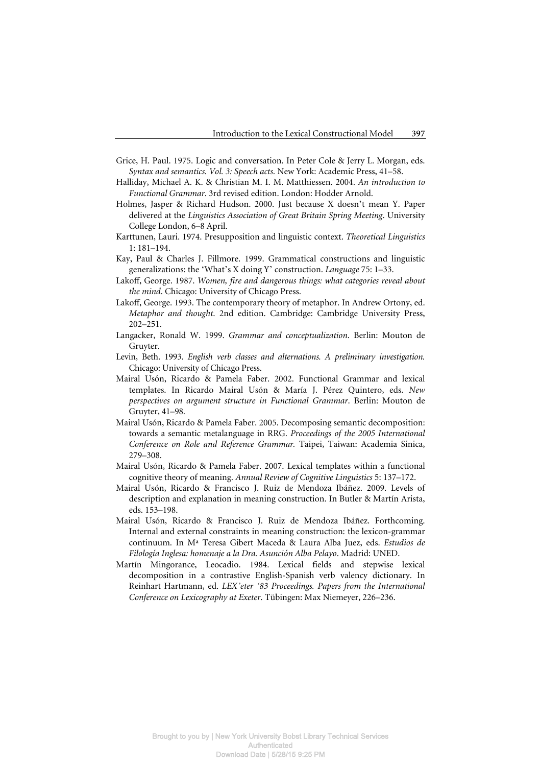- Grice, H. Paul. 1975. Logic and conversation. In Peter Cole & Jerry L. Morgan, eds. *Syntax and semantics. Vol. 3: Speech acts*. New York: Academic Press, 41–58.
- Halliday, Michael A. K. & Christian M. I. M. Matthiessen. 2004. *An introduction to Functional Grammar*. 3rd revised edition. London: Hodder Arnold.
- Holmes, Jasper & Richard Hudson. 2000. Just because X doesn't mean Y. Paper delivered at the *Linguistics Association of Great Britain Spring Meeting*. University College London, 6–8 April.
- Karttunen, Lauri. 1974. Presupposition and linguistic context. *Theoretical Linguistics*  1: 181–194.
- Kay, Paul & Charles J. Fillmore. 1999. Grammatical constructions and linguistic generalizations: the 'What's X doing Y' construction. *Language* 75: 1–33.
- Lakoff, George. 1987. *Women, fire and dangerous things: what categories reveal about the mind*. Chicago: University of Chicago Press.
- Lakoff, George. 1993. The contemporary theory of metaphor. In Andrew Ortony, ed. *Metaphor and thought*. 2nd edition. Cambridge: Cambridge University Press, 202–251.
- Langacker, Ronald W. 1999. *Grammar and conceptualization*. Berlin: Mouton de Gruyter.
- Levin, Beth. 1993. *English verb classes and alternations. A preliminary investigation.* Chicago: University of Chicago Press.
- Mairal Usón, Ricardo & Pamela Faber. 2002. Functional Grammar and lexical templates. In Ricardo Mairal Usón & María J. Pérez Quintero, eds. *New perspectives on argument structure in Functional Grammar*. Berlin: Mouton de Gruyter, 41–98.
- Mairal Usón, Ricardo & Pamela Faber. 2005. Decomposing semantic decomposition: towards a semantic metalanguage in RRG. *Proceedings of the 2005 International Conference on Role and Reference Grammar.* Taipei, Taiwan: Academia Sinica, 279–308.
- Mairal Usón, Ricardo & Pamela Faber. 2007. Lexical templates within a functional cognitive theory of meaning. *Annual Review of Cognitive Linguistics* 5: 137–172.
- Mairal Usón, Ricardo & Francisco J. Ruiz de Mendoza Ibáñez. 2009. Levels of description and explanation in meaning construction. In Butler & Martín Arista, eds. 153–198.
- Mairal Usón, Ricardo & Francisco J. Ruiz de Mendoza Ibáñez. Forthcoming. Internal and external constraints in meaning construction: the lexicon-grammar continuum. In Mª Teresa Gibert Maceda & Laura Alba Juez, eds. *Estudios de Filología Inglesa: homenaje a la Dra. Asunción Alba Pelayo*. Madrid: UNED.
- Martín Mingorance, Leocadio. 1984. Lexical fields and stepwise lexical decomposition in a contrastive English-Spanish verb valency dictionary. In Reinhart Hartmann, ed. *LEX'eter '83 Proceedings. Papers from the International Conference on Lexicography at Exeter*. Tübingen: Max Niemeyer, 226–236.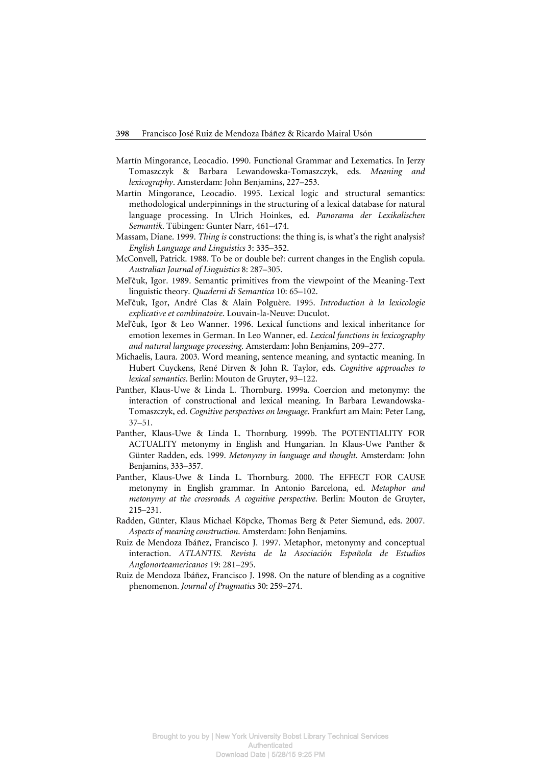- Martín Mingorance, Leocadio. 1990. Functional Grammar and Lexematics. In Jerzy Tomaszczyk & Barbara Lewandowska-Tomaszczyk, eds. *Meaning and lexicography*. Amsterdam: John Benjamins, 227–253.
- Martín Mingorance, Leocadio. 1995. Lexical logic and structural semantics: methodological underpinnings in the structuring of a lexical database for natural language processing. In Ulrich Hoinkes, ed. *Panorama der Lexikalischen Semantik*. Tübingen: Gunter Narr, 461–474.
- Massam, Diane. 1999. *Thing is* constructions: the thing is, is what's the right analysis? *English Language and Linguistics* 3: 335–352.
- McConvell, Patrick. 1988. To be or double be?: current changes in the English copula. *Australian Journal of Linguistics* 8: 287–305.
- Mel'čuk, Igor. 1989. Semantic primitives from the viewpoint of the Meaning-Text linguistic theory. *Quaderni di Semantica* 10: 65–102.
- Mel'čuk, Igor, André Clas & Alain Polguère. 1995. *Introduction à la lexicologie explicative et combinatoire*. Louvain-la-Neuve: Duculot.
- Mel'čuk, Igor & Leo Wanner. 1996. Lexical functions and lexical inheritance for emotion lexemes in German. In Leo Wanner, ed. *Lexical functions in lexicography and natural language processing.* Amsterdam: John Benjamins, 209–277.
- Michaelis, Laura. 2003. Word meaning, sentence meaning, and syntactic meaning. In Hubert Cuyckens, René Dirven & John R. Taylor, eds. *Cognitive approaches to lexical semantics*. Berlin: Mouton de Gruyter, 93–122.
- Panther, Klaus-Uwe & Linda L. Thornburg. 1999a. Coercion and metonymy: the interaction of constructional and lexical meaning. In Barbara Lewandowska-Tomaszczyk, ed. *Cognitive perspectives on language*. Frankfurt am Main: Peter Lang, 37–51.
- Panther, Klaus-Uwe & Linda L. Thornburg. 1999b. The POTENTIALITY FOR ACTUALITY metonymy in English and Hungarian. In Klaus-Uwe Panther & Günter Radden, eds. 1999. *Metonymy in language and thought*. Amsterdam: John Benjamins, 333–357.
- Panther, Klaus-Uwe & Linda L. Thornburg. 2000. The EFFECT FOR CAUSE metonymy in English grammar. In Antonio Barcelona, ed. *Metaphor and metonymy at the crossroads. A cognitive perspective*. Berlin: Mouton de Gruyter, 215–231.
- Radden, Günter, Klaus Michael Köpcke, Thomas Berg & Peter Siemund, eds. 2007. *Aspects of meaning construction*. Amsterdam: John Benjamins.
- Ruiz de Mendoza Ibáñez, Francisco J. 1997. Metaphor, metonymy and conceptual interaction. *ATLANTIS. Revista de la Asociación Española de Estudios Anglonorteamericanos* 19: 281–295.
- Ruiz de Mendoza Ibáñez, Francisco J. 1998. On the nature of blending as a cognitive phenomenon. *Journal of Pragmatics* 30: 259–274.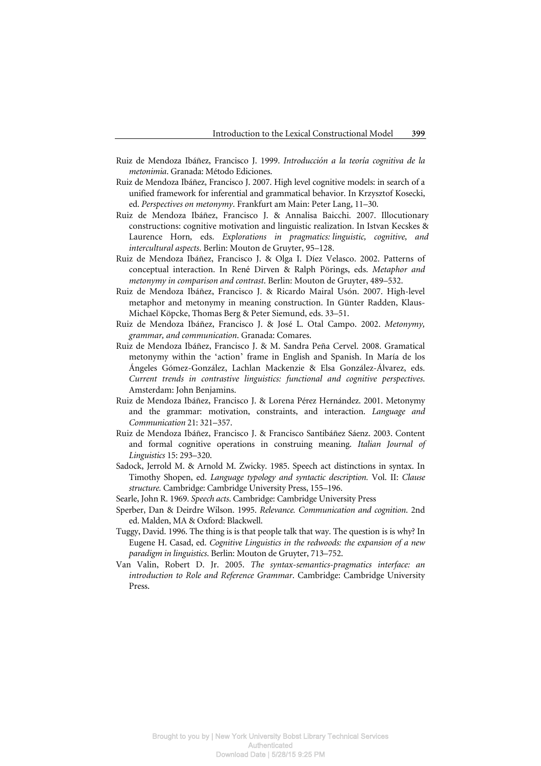- Ruiz de Mendoza Ibáñez, Francisco J. 1999. *Introducción a la teoría cognitiva de la metonimia*. Granada: Método Ediciones.
- Ruiz de Mendoza Ibáñez, Francisco J. 2007. High level cognitive models: in search of a unified framework for inferential and grammatical behavior. In Krzysztof Kosecki, ed. *Perspectives on metonymy*. Frankfurt am Main: Peter Lang, 11–30.
- Ruiz de Mendoza Ibáñez, Francisco J. & Annalisa Baicchi. 2007. Illocutionary constructions: cognitive motivation and linguistic realization. In Istvan Kecskes & Laurence Horn*,* eds. *Explorations in pragmatics: linguistic, cognitive, and intercultural aspects*. Berlin: Mouton de Gruyter, 95–128.
- Ruiz de Mendoza Ibáñez, Francisco J. & Olga I. Díez Velasco. 2002. Patterns of conceptual interaction. In René Dirven & Ralph Pörings, eds. *Metaphor and metonymy in comparison and contrast*. Berlin: Mouton de Gruyter, 489–532.
- Ruiz de Mendoza Ibáñez, Francisco J. & Ricardo Mairal Usón. 2007. High-level metaphor and metonymy in meaning construction. In Günter Radden, Klaus-Michael Köpcke, Thomas Berg & Peter Siemund, eds. 33–51.
- Ruiz de Mendoza Ibáñez, Francisco J. & José L. Otal Campo. 2002. *Metonymy, grammar, and communication*. Granada: Comares.
- Ruiz de Mendoza Ibáñez, Francisco J. & M. Sandra Peña Cervel. 2008. Gramatical metonymy within the 'action' frame in English and Spanish. In María de los Ángeles Gómez-González, Lachlan Mackenzie & Elsa González-Álvarez, eds. *Current trends in contrastive linguistics: functional and cognitive perspectives*. Amsterdam: John Benjamins.
- Ruiz de Mendoza Ibáñez, Francisco J. & Lorena Pérez Hernández. 2001. Metonymy and the grammar: motivation, constraints, and interaction. *Language and Communication* 21: 321–357.
- Ruiz de Mendoza Ibáñez, Francisco J. & Francisco Santibáñez Sáenz. 2003. Content and formal cognitive operations in construing meaning. *Italian Journal of Linguistics* 15: 293–320.
- Sadock, Jerrold M. & Arnold M. Zwicky. 1985. Speech act distinctions in syntax. In Timothy Shopen, ed. *Language typology and syntactic description.* Vol. II: *Clause structure.* Cambridge: Cambridge University Press, 155–196.
- Searle, John R. 1969. *Speech acts*. Cambridge: Cambridge University Press
- Sperber, Dan & Deirdre Wilson. 1995. *Relevance. Communication and cognition*. 2nd ed. Malden, MA & Oxford: Blackwell.
- Tuggy, David. 1996. The thing is is that people talk that way. The question is is why? In Eugene H. Casad, ed. *Cognitive Linguistics in the redwoods: the expansion of a new paradigm in linguistics*. Berlin: Mouton de Gruyter, 713–752.
- Van Valin, Robert D. Jr. 2005. *The syntax-semantics-pragmatics interface: an introduction to Role and Reference Grammar*. Cambridge: Cambridge University Press.